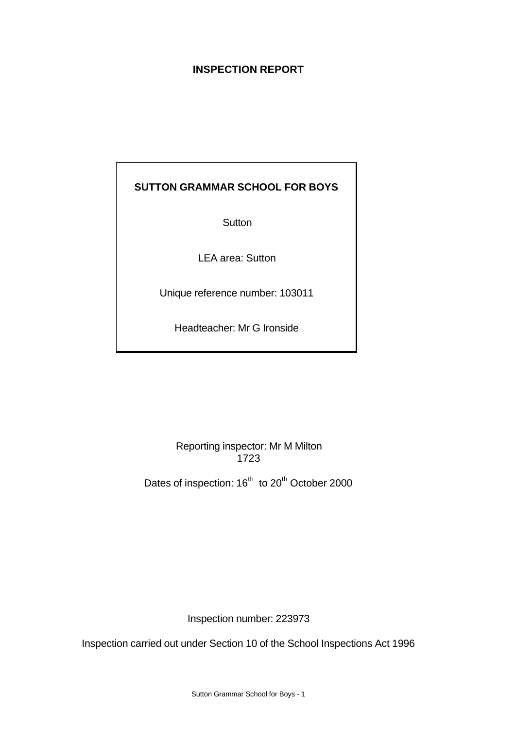## **INSPECTION REPORT**

## **SUTTON GRAMMAR SCHOOL FOR BOYS**

**Sutton** 

LEA area: Sutton

Unique reference number: 103011

Headteacher: Mr G Ironside

Reporting inspector: Mr M Milton 1723

Dates of inspection: 16<sup>th</sup> to 20<sup>th</sup> October 2000

Inspection number: 223973

Inspection carried out under Section 10 of the School Inspections Act 1996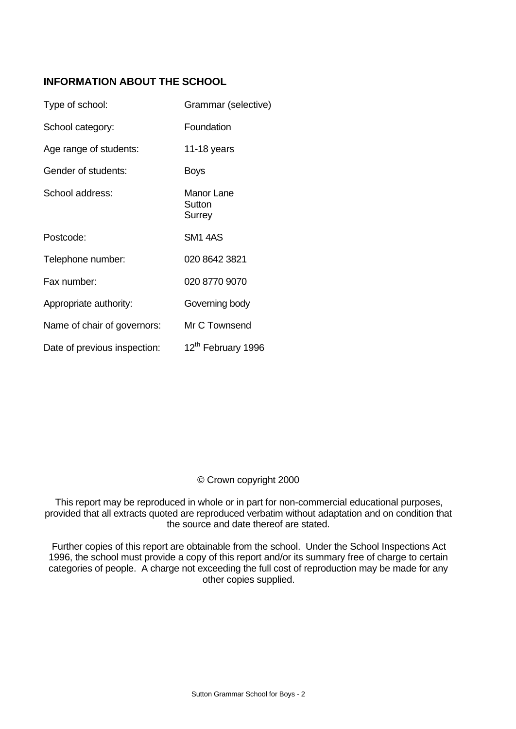## **INFORMATION ABOUT THE SCHOOL**

| Type of school:              | Grammar (selective)                          |
|------------------------------|----------------------------------------------|
| School category:             | Foundation                                   |
| Age range of students:       | 11-18 years                                  |
| Gender of students:          | <b>Boys</b>                                  |
| School address:              | <b>Manor Lane</b><br>Sutton<br><b>Surrey</b> |
| Postcode:                    | <b>SM1 4AS</b>                               |
| Telephone number:            | 020 8642 3821                                |
| Fax number:                  | 020 8770 9070                                |
| Appropriate authority:       | Governing body                               |
| Name of chair of governors:  | Mr C Townsend                                |
| Date of previous inspection: | 12 <sup>th</sup> February 1996               |

## © Crown copyright 2000

This report may be reproduced in whole or in part for non-commercial educational purposes, provided that all extracts quoted are reproduced verbatim without adaptation and on condition that the source and date thereof are stated.

Further copies of this report are obtainable from the school. Under the School Inspections Act 1996, the school must provide a copy of this report and/or its summary free of charge to certain categories of people. A charge not exceeding the full cost of reproduction may be made for any other copies supplied.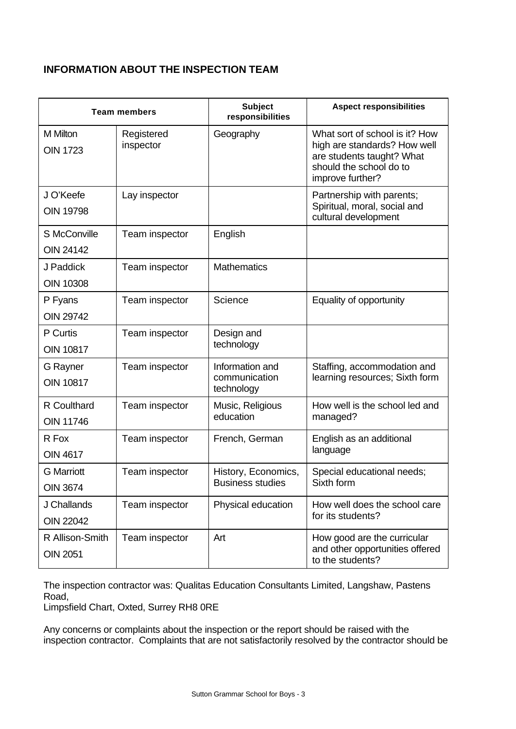## **INFORMATION ABOUT THE INSPECTION TEAM**

| <b>Team members</b>                  |                         | <b>Subject</b><br>responsibilities             | <b>Aspect responsibilities</b>                                                                                                             |
|--------------------------------------|-------------------------|------------------------------------------------|--------------------------------------------------------------------------------------------------------------------------------------------|
| M Milton<br><b>OIN 1723</b>          | Registered<br>inspector | Geography                                      | What sort of school is it? How<br>high are standards? How well<br>are students taught? What<br>should the school do to<br>improve further? |
| J O'Keefe<br><b>OIN 19798</b>        | Lay inspector           |                                                | Partnership with parents;<br>Spiritual, moral, social and<br>cultural development                                                          |
| S McConville<br><b>OIN 24142</b>     | Team inspector          | English                                        |                                                                                                                                            |
| J Paddick<br><b>OIN 10308</b>        | Team inspector          | <b>Mathematics</b>                             |                                                                                                                                            |
| P Fyans<br><b>OIN 29742</b>          | Team inspector          | Science                                        | Equality of opportunity                                                                                                                    |
| P Curtis<br><b>OIN 10817</b>         | Team inspector          | Design and<br>technology                       |                                                                                                                                            |
| G Rayner<br><b>OIN 10817</b>         | Team inspector          | Information and<br>communication<br>technology | Staffing, accommodation and<br>learning resources; Sixth form                                                                              |
| R Coulthard<br><b>OIN 11746</b>      | Team inspector          | Music, Religious<br>education                  | How well is the school led and<br>managed?                                                                                                 |
| R Fox<br><b>OIN 4617</b>             | Team inspector          | French, German                                 | English as an additional<br>language                                                                                                       |
| <b>G</b> Marriott<br><b>OIN 3674</b> | Team inspector          | History, Economics,<br><b>Business studies</b> | Special educational needs;<br>Sixth form                                                                                                   |
| J Challands<br><b>OIN 22042</b>      | Team inspector          | Physical education                             | How well does the school care<br>for its students?                                                                                         |
| R Allison-Smith<br><b>OIN 2051</b>   | Team inspector          | Art                                            | How good are the curricular<br>and other opportunities offered<br>to the students?                                                         |

The inspection contractor was: Qualitas Education Consultants Limited, Langshaw, Pastens Road,

Limpsfield Chart, Oxted, Surrey RH8 0RE

Any concerns or complaints about the inspection or the report should be raised with the inspection contractor. Complaints that are not satisfactorily resolved by the contractor should be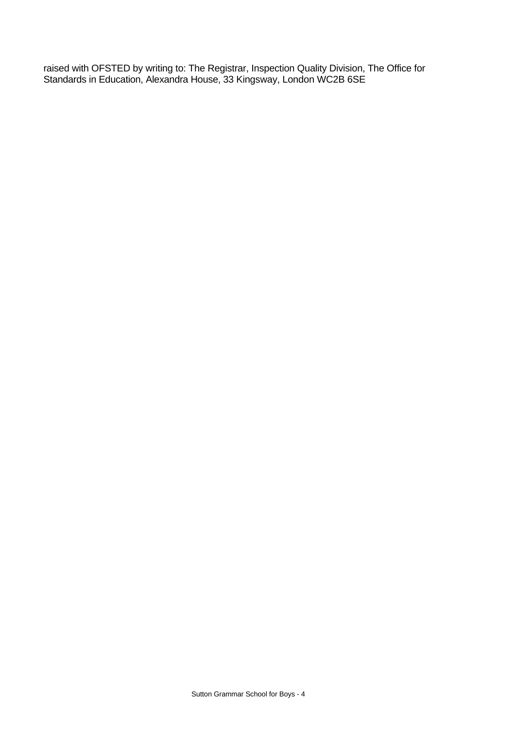raised with OFSTED by writing to: The Registrar, Inspection Quality Division, The Office for Standards in Education, Alexandra House, 33 Kingsway, London WC2B 6SE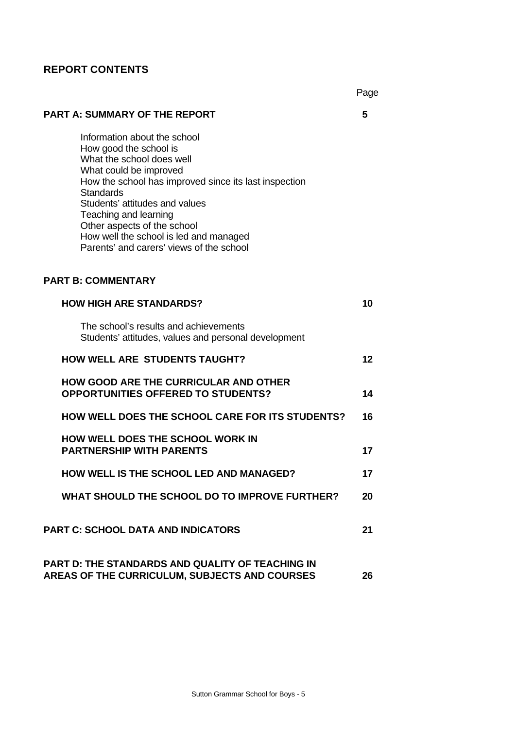## **REPORT CONTENTS**

Page

# **PART A: SUMMARY OF THE REPORT 5** Information about the school How good the school is What the school does well What could be improved How the school has improved since its last inspection **Standards** Students' attitudes and values Teaching and learning Other aspects of the school How well the school is led and managed Parents' and carers' views of the school **PART B: COMMENTARY HOW HIGH ARE STANDARDS? 10** The school's results and achievements Students' attitudes, values and personal development **HOW WELL ARE STUDENTS TAUGHT? 12 HOW GOOD ARE THE CURRICULAR AND OTHER OPPORTUNITIES OFFERED TO STUDENTS? 14 HOW WELL DOES THE SCHOOL CARE FOR ITS STUDENTS? 16 HOW WELL DOES THE SCHOOL WORK IN PARTNERSHIP WITH PARENTS 17 HOW WELL IS THE SCHOOL LED AND MANAGED? 17 WHAT SHOULD THE SCHOOL DO TO IMPROVE FURTHER? 20 PART C: SCHOOL DATA AND INDICATORS 21 PART D: THE STANDARDS AND QUALITY OF TEACHING IN AREAS OF THE CURRICULUM, SUBJECTS AND COURSES 26**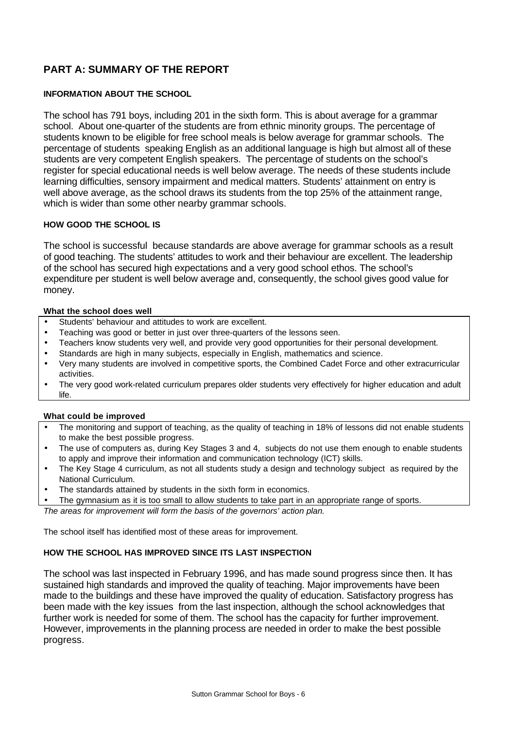## **PART A: SUMMARY OF THE REPORT**

## **INFORMATION ABOUT THE SCHOOL**

The school has 791 boys, including 201 in the sixth form. This is about average for a grammar school. About one-quarter of the students are from ethnic minority groups. The percentage of students known to be eligible for free school meals is below average for grammar schools. The percentage of students speaking English as an additional language is high but almost all of these students are very competent English speakers. The percentage of students on the school's register for special educational needs is well below average. The needs of these students include learning difficulties, sensory impairment and medical matters. Students' attainment on entry is well above average, as the school draws its students from the top 25% of the attainment range, which is wider than some other nearby grammar schools.

### **HOW GOOD THE SCHOOL IS**

The school is successful because standards are above average for grammar schools as a result of good teaching. The students' attitudes to work and their behaviour are excellent. The leadership of the school has secured high expectations and a very good school ethos. The school's expenditure per student is well below average and, consequently, the school gives good value for money.

#### **What the school does well**

- Students' behaviour and attitudes to work are excellent.
- Teaching was good or better in just over three-quarters of the lessons seen.
- Teachers know students very well, and provide very good opportunities for their personal development.
- Standards are high in many subjects, especially in English, mathematics and science.
- Very many students are involved in competitive sports, the Combined Cadet Force and other extracurricular activities.
- The very good work-related curriculum prepares older students very effectively for higher education and adult life.

### **What could be improved**

- The monitoring and support of teaching, as the quality of teaching in 18% of lessons did not enable students to make the best possible progress.
- The use of computers as, during Key Stages 3 and 4, subjects do not use them enough to enable students to apply and improve their information and communication technology (ICT) skills.
- The Key Stage 4 curriculum, as not all students study a design and technology subject as required by the National Curriculum.
- The standards attained by students in the sixth form in economics.

The gymnasium as it is too small to allow students to take part in an appropriate range of sports.

*The areas for improvement will form the basis of the governors' action plan.*

The school itself has identified most of these areas for improvement.

### **HOW THE SCHOOL HAS IMPROVED SINCE ITS LAST INSPECTION**

The school was last inspected in February 1996, and has made sound progress since then. It has sustained high standards and improved the quality of teaching. Major improvements have been made to the buildings and these have improved the quality of education. Satisfactory progress has been made with the key issues from the last inspection, although the school acknowledges that further work is needed for some of them. The school has the capacity for further improvement. However, improvements in the planning process are needed in order to make the best possible progress.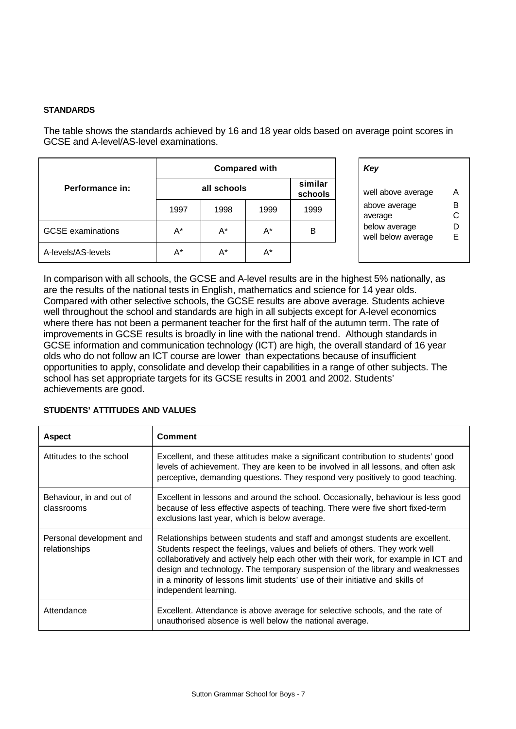### **STANDARDS**

The table shows the standards achieved by 16 and 18 year olds based on average point scores in GCSE and A-level/AS-level examinations.

|                          |       | <b>Compared with</b> | Key   |                    |                                 |
|--------------------------|-------|----------------------|-------|--------------------|---------------------------------|
| Performance in:          |       | all schools          |       | similar<br>schools | well above ave                  |
|                          | 1997  | 1998                 | 1999  | 1999               | above average<br>average        |
| <b>GCSE</b> examinations | A*    | $A^*$                | $A^*$ | B                  | below average<br>well below ave |
| A-levels/AS-levels       | $A^*$ | $A^*$                | A*    |                    |                                 |

|                    | Key                                 |        |
|--------------------|-------------------------------------|--------|
| similar<br>schools | well above average                  | А      |
| 1999               | above average<br>average            | в<br>C |
| R                  | below average<br>well below average | D<br>F |
|                    |                                     |        |

In comparison with all schools, the GCSE and A-level results are in the highest 5% nationally, as are the results of the national tests in English, mathematics and science for 14 year olds. Compared with other selective schools, the GCSE results are above average. Students achieve well throughout the school and standards are high in all subjects except for A-level economics where there has not been a permanent teacher for the first half of the autumn term. The rate of improvements in GCSE results is broadly in line with the national trend. Although standards in GCSE information and communication technology (ICT) are high, the overall standard of 16 year olds who do not follow an ICT course are lower than expectations because of insufficient opportunities to apply, consolidate and develop their capabilities in a range of other subjects. The school has set appropriate targets for its GCSE results in 2001 and 2002. Students' achievements are good.

### **STUDENTS' ATTITUDES AND VALUES**

| <b>Aspect</b>                             | Comment                                                                                                                                                                                                                                                                                                                                                                                                                                         |
|-------------------------------------------|-------------------------------------------------------------------------------------------------------------------------------------------------------------------------------------------------------------------------------------------------------------------------------------------------------------------------------------------------------------------------------------------------------------------------------------------------|
| Attitudes to the school                   | Excellent, and these attitudes make a significant contribution to students' good<br>levels of achievement. They are keen to be involved in all lessons, and often ask<br>perceptive, demanding questions. They respond very positively to good teaching.                                                                                                                                                                                        |
| Behaviour, in and out of<br>classrooms    | Excellent in lessons and around the school. Occasionally, behaviour is less good<br>because of less effective aspects of teaching. There were five short fixed-term<br>exclusions last year, which is below average.                                                                                                                                                                                                                            |
| Personal development and<br>relationships | Relationships between students and staff and amongst students are excellent.<br>Students respect the feelings, values and beliefs of others. They work well<br>collaboratively and actively help each other with their work, for example in ICT and<br>design and technology. The temporary suspension of the library and weaknesses<br>in a minority of lessons limit students' use of their initiative and skills of<br>independent learning. |
| Attendance                                | Excellent. Attendance is above average for selective schools, and the rate of<br>unauthorised absence is well below the national average.                                                                                                                                                                                                                                                                                                       |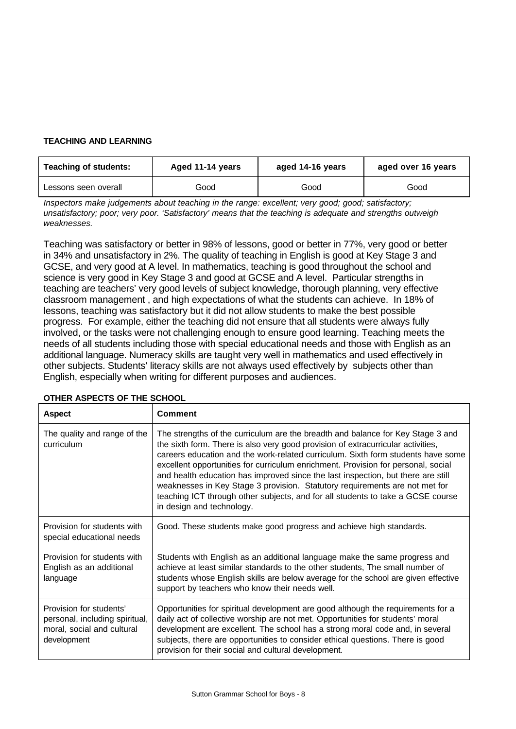### **TEACHING AND LEARNING**

| <b>Teaching of students:</b> | Aged 11-14 years | aged 14-16 years | aged over 16 years |  |
|------------------------------|------------------|------------------|--------------------|--|
| Lessons seen overall         | Good             | Good             | Good               |  |

*Inspectors make judgements about teaching in the range: excellent; very good; good; satisfactory; unsatisfactory; poor; very poor. 'Satisfactory' means that the teaching is adequate and strengths outweigh weaknesses.*

Teaching was satisfactory or better in 98% of lessons, good or better in 77%, very good or better in 34% and unsatisfactory in 2%. The quality of teaching in English is good at Key Stage 3 and GCSE, and very good at A level. In mathematics, teaching is good throughout the school and science is very good in Key Stage 3 and good at GCSE and A level. Particular strengths in teaching are teachers' very good levels of subject knowledge, thorough planning, very effective classroom management , and high expectations of what the students can achieve. In 18% of lessons, teaching was satisfactory but it did not allow students to make the best possible progress. For example, either the teaching did not ensure that all students were always fully involved, or the tasks were not challenging enough to ensure good learning. Teaching meets the needs of all students including those with special educational needs and those with English as an additional language. Numeracy skills are taught very well in mathematics and used effectively in other subjects. Students' literacy skills are not always used effectively by subjects other than English, especially when writing for different purposes and audiences.

| <b>Aspect</b>                                                                                          | <b>Comment</b>                                                                                                                                                                                                                                                                                                                                                                                                                                                                                                                                                                                                                  |
|--------------------------------------------------------------------------------------------------------|---------------------------------------------------------------------------------------------------------------------------------------------------------------------------------------------------------------------------------------------------------------------------------------------------------------------------------------------------------------------------------------------------------------------------------------------------------------------------------------------------------------------------------------------------------------------------------------------------------------------------------|
| The quality and range of the<br>curriculum                                                             | The strengths of the curriculum are the breadth and balance for Key Stage 3 and<br>the sixth form. There is also very good provision of extracurricular activities,<br>careers education and the work-related curriculum. Sixth form students have some<br>excellent opportunities for curriculum enrichment. Provision for personal, social<br>and health education has improved since the last inspection, but there are still<br>weaknesses in Key Stage 3 provision. Statutory requirements are not met for<br>teaching ICT through other subjects, and for all students to take a GCSE course<br>in design and technology. |
| Provision for students with<br>special educational needs                                               | Good. These students make good progress and achieve high standards.                                                                                                                                                                                                                                                                                                                                                                                                                                                                                                                                                             |
| Provision for students with<br>English as an additional<br>language                                    | Students with English as an additional language make the same progress and<br>achieve at least similar standards to the other students, The small number of<br>students whose English skills are below average for the school are given effective<br>support by teachers who know their needs well.                                                                                                                                                                                                                                                                                                                             |
| Provision for students'<br>personal, including spiritual,<br>moral, social and cultural<br>development | Opportunities for spiritual development are good although the requirements for a<br>daily act of collective worship are not met. Opportunities for students' moral<br>development are excellent. The school has a strong moral code and, in several<br>subjects, there are opportunities to consider ethical questions. There is good<br>provision for their social and cultural development.                                                                                                                                                                                                                                   |

## **OTHER ASPECTS OF THE SCHOOL**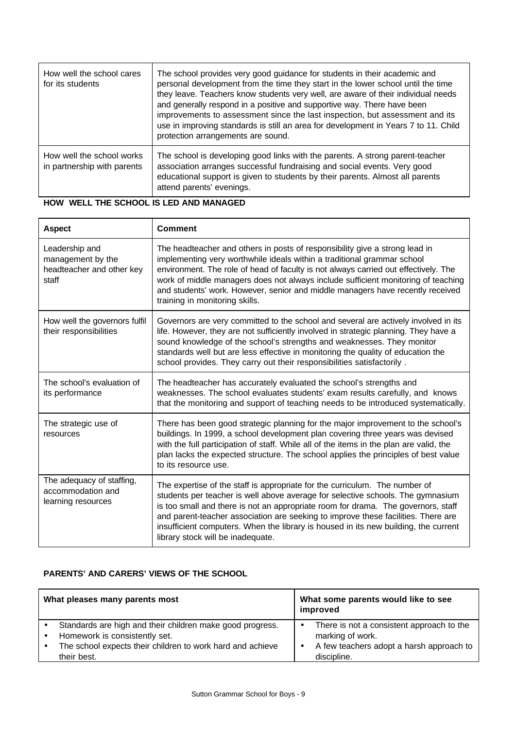| How well the school cares<br>for its students            | The school provides very good guidance for students in their academic and<br>personal development from the time they start in the lower school until the time<br>they leave. Teachers know students very well, are aware of their individual needs<br>and generally respond in a positive and supportive way. There have been<br>improvements to assessment since the last inspection, but assessment and its<br>use in improving standards is still an area for development in Years 7 to 11. Child<br>protection arrangements are sound. |
|----------------------------------------------------------|--------------------------------------------------------------------------------------------------------------------------------------------------------------------------------------------------------------------------------------------------------------------------------------------------------------------------------------------------------------------------------------------------------------------------------------------------------------------------------------------------------------------------------------------|
| How well the school works<br>in partnership with parents | The school is developing good links with the parents. A strong parent-teacher<br>association arranges successful fundraising and social events. Very good<br>educational support is given to students by their parents. Almost all parents<br>attend parents' evenings.                                                                                                                                                                                                                                                                    |

## **HOW WELL THE SCHOOL IS LED AND MANAGED**

| <b>Aspect</b>                                                             | <b>Comment</b>                                                                                                                                                                                                                                                                                                                                                                                                                                                       |
|---------------------------------------------------------------------------|----------------------------------------------------------------------------------------------------------------------------------------------------------------------------------------------------------------------------------------------------------------------------------------------------------------------------------------------------------------------------------------------------------------------------------------------------------------------|
| Leadership and<br>management by the<br>headteacher and other key<br>staff | The headteacher and others in posts of responsibility give a strong lead in<br>implementing very worthwhile ideals within a traditional grammar school<br>environment. The role of head of faculty is not always carried out effectively. The<br>work of middle managers does not always include sufficient monitoring of teaching<br>and students' work. However, senior and middle managers have recently received<br>training in monitoring skills.               |
| How well the governors fulfil<br>their responsibilities                   | Governors are very committed to the school and several are actively involved in its<br>life. However, they are not sufficiently involved in strategic planning. They have a<br>sound knowledge of the school's strengths and weaknesses. They monitor<br>standards well but are less effective in monitoring the quality of education the<br>school provides. They carry out their responsibilities satisfactorily.                                                  |
| The school's evaluation of<br>its performance                             | The headteacher has accurately evaluated the school's strengths and<br>weaknesses. The school evaluates students' exam results carefully, and knows<br>that the monitoring and support of teaching needs to be introduced systematically.                                                                                                                                                                                                                            |
| The strategic use of<br>resources                                         | There has been good strategic planning for the major improvement to the school's<br>buildings. In 1999, a school development plan covering three years was devised<br>with the full participation of staff. While all of the items in the plan are valid, the<br>plan lacks the expected structure. The school applies the principles of best value<br>to its resource use.                                                                                          |
| The adequacy of staffing,<br>accommodation and<br>learning resources      | The expertise of the staff is appropriate for the curriculum. The number of<br>students per teacher is well above average for selective schools. The gymnasium<br>is too small and there is not an appropriate room for drama. The governors, staff<br>and parent-teacher association are seeking to improve these facilities. There are<br>insufficient computers. When the library is housed in its new building, the current<br>library stock will be inadequate. |

## **PARENTS' AND CARERS' VIEWS OF THE SCHOOL**

| What pleases many parents most                                                                                                                                                       | What some parents would like to see<br>improved                                                                                            |  |  |
|--------------------------------------------------------------------------------------------------------------------------------------------------------------------------------------|--------------------------------------------------------------------------------------------------------------------------------------------|--|--|
| Standards are high and their children make good progress.<br>Homework is consistently set.<br>$\bullet$<br>The school expects their children to work hard and achieve<br>their best. | There is not a consistent approach to the<br>$\bullet$<br>marking of work.<br>A few teachers adopt a harsh approach to<br>٠<br>discipline. |  |  |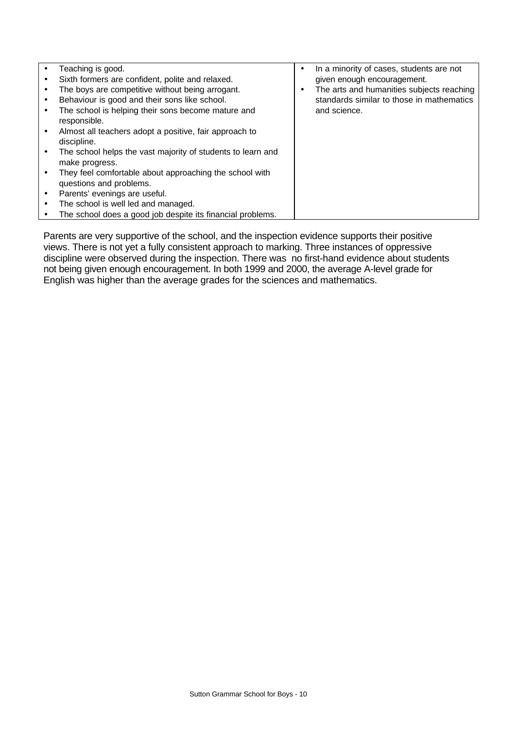|           | Teaching is good.                                                     |   | In a minority of cases, students are not  |
|-----------|-----------------------------------------------------------------------|---|-------------------------------------------|
|           | Sixth formers are confident, polite and relaxed.                      |   | given enough encouragement.               |
|           | The boys are competitive without being arrogant.                      | ٠ | The arts and humanities subjects reaching |
| $\bullet$ | Behaviour is good and their sons like school.                         |   | standards similar to those in mathematics |
|           | The school is helping their sons become mature and<br>responsible.    |   | and science.                              |
|           |                                                                       |   |                                           |
|           | Almost all teachers adopt a positive, fair approach to<br>discipline. |   |                                           |
|           | The school helps the vast majority of students to learn and           |   |                                           |
|           | make progress.                                                        |   |                                           |
|           | They feel comfortable about approaching the school with               |   |                                           |
|           | questions and problems.                                               |   |                                           |
|           | Parents' evenings are useful.                                         |   |                                           |
| $\bullet$ | The school is well led and managed.                                   |   |                                           |
|           | The school does a good job despite its financial problems.            |   |                                           |

Parents are very supportive of the school, and the inspection evidence supports their positive views. There is not yet a fully consistent approach to marking. Three instances of oppressive discipline were observed during the inspection. There was no first-hand evidence about students not being given enough encouragement. In both 1999 and 2000, the average A-level grade for English was higher than the average grades for the sciences and mathematics.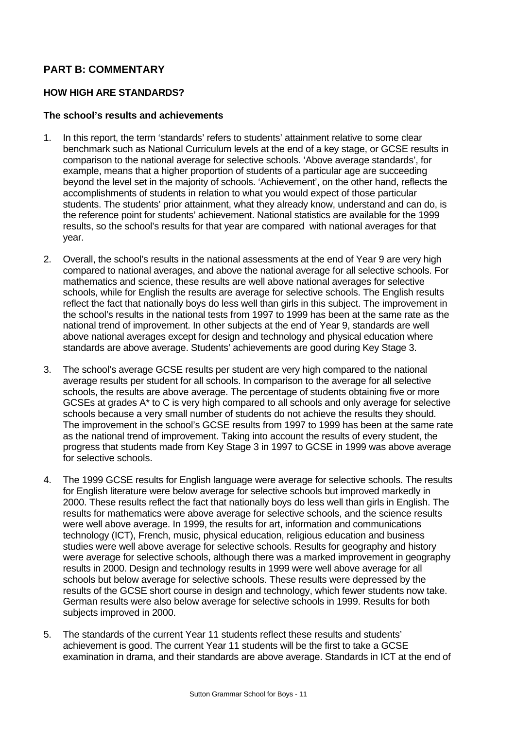## **PART B: COMMENTARY**

## **HOW HIGH ARE STANDARDS?**

## **The school's results and achievements**

- 1. In this report, the term 'standards' refers to students' attainment relative to some clear benchmark such as National Curriculum levels at the end of a key stage, or GCSE results in comparison to the national average for selective schools. 'Above average standards', for example, means that a higher proportion of students of a particular age are succeeding beyond the level set in the majority of schools. 'Achievement', on the other hand, reflects the accomplishments of students in relation to what you would expect of those particular students. The students' prior attainment, what they already know, understand and can do, is the reference point for students' achievement. National statistics are available for the 1999 results, so the school's results for that year are compared with national averages for that year.
- 2. Overall, the school's results in the national assessments at the end of Year 9 are very high compared to national averages, and above the national average for all selective schools. For mathematics and science, these results are well above national averages for selective schools, while for English the results are average for selective schools. The English results reflect the fact that nationally boys do less well than girls in this subject. The improvement in the school's results in the national tests from 1997 to 1999 has been at the same rate as the national trend of improvement. In other subjects at the end of Year 9, standards are well above national averages except for design and technology and physical education where standards are above average. Students' achievements are good during Key Stage 3.
- 3. The school's average GCSE results per student are very high compared to the national average results per student for all schools. In comparison to the average for all selective schools, the results are above average. The percentage of students obtaining five or more GCSEs at grades A\* to C is very high compared to all schools and only average for selective schools because a very small number of students do not achieve the results they should. The improvement in the school's GCSE results from 1997 to 1999 has been at the same rate as the national trend of improvement. Taking into account the results of every student, the progress that students made from Key Stage 3 in 1997 to GCSE in 1999 was above average for selective schools.
- 4. The 1999 GCSE results for English language were average for selective schools. The results for English literature were below average for selective schools but improved markedly in 2000. These results reflect the fact that nationally boys do less well than girls in English. The results for mathematics were above average for selective schools, and the science results were well above average. In 1999, the results for art, information and communications technology (ICT), French, music, physical education, religious education and business studies were well above average for selective schools. Results for geography and history were average for selective schools, although there was a marked improvement in geography results in 2000. Design and technology results in 1999 were well above average for all schools but below average for selective schools. These results were depressed by the results of the GCSE short course in design and technology, which fewer students now take. German results were also below average for selective schools in 1999. Results for both subjects improved in 2000.
- 5. The standards of the current Year 11 students reflect these results and students' achievement is good. The current Year 11 students will be the first to take a GCSE examination in drama, and their standards are above average. Standards in ICT at the end of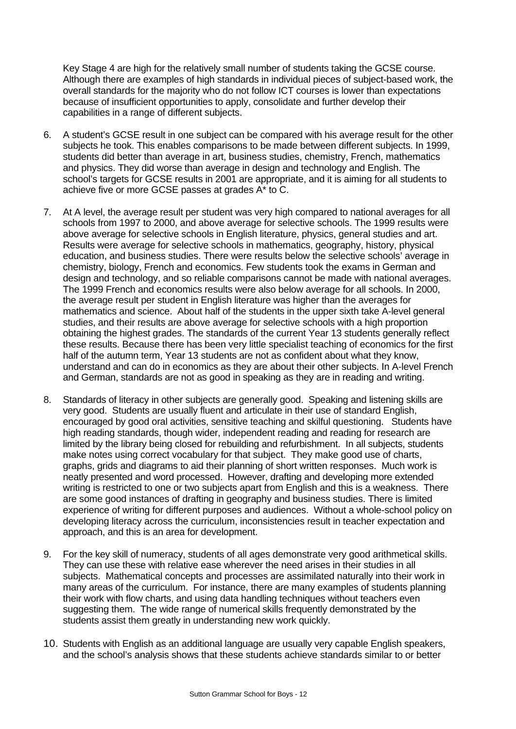Key Stage 4 are high for the relatively small number of students taking the GCSE course. Although there are examples of high standards in individual pieces of subject-based work, the overall standards for the majority who do not follow ICT courses is lower than expectations because of insufficient opportunities to apply, consolidate and further develop their capabilities in a range of different subjects.

- 6. A student's GCSE result in one subject can be compared with his average result for the other subjects he took. This enables comparisons to be made between different subjects. In 1999, students did better than average in art, business studies, chemistry, French, mathematics and physics. They did worse than average in design and technology and English. The school's targets for GCSE results in 2001 are appropriate, and it is aiming for all students to achieve five or more GCSE passes at grades A\* to C.
- 7. At A level, the average result per student was very high compared to national averages for all schools from 1997 to 2000, and above average for selective schools. The 1999 results were above average for selective schools in English literature, physics, general studies and art. Results were average for selective schools in mathematics, geography, history, physical education, and business studies. There were results below the selective schools' average in chemistry, biology, French and economics. Few students took the exams in German and design and technology, and so reliable comparisons cannot be made with national averages. The 1999 French and economics results were also below average for all schools. In 2000, the average result per student in English literature was higher than the averages for mathematics and science. About half of the students in the upper sixth take A-level general studies, and their results are above average for selective schools with a high proportion obtaining the highest grades. The standards of the current Year 13 students generally reflect these results. Because there has been very little specialist teaching of economics for the first half of the autumn term, Year 13 students are not as confident about what they know, understand and can do in economics as they are about their other subjects. In A-level French and German, standards are not as good in speaking as they are in reading and writing.
- 8. Standards of literacy in other subjects are generally good. Speaking and listening skills are very good. Students are usually fluent and articulate in their use of standard English, encouraged by good oral activities, sensitive teaching and skilful questioning. Students have high reading standards, though wider, independent reading and reading for research are limited by the library being closed for rebuilding and refurbishment. In all subjects, students make notes using correct vocabulary for that subject. They make good use of charts, graphs, grids and diagrams to aid their planning of short written responses. Much work is neatly presented and word processed. However, drafting and developing more extended writing is restricted to one or two subjects apart from English and this is a weakness. There are some good instances of drafting in geography and business studies. There is limited experience of writing for different purposes and audiences. Without a whole-school policy on developing literacy across the curriculum, inconsistencies result in teacher expectation and approach, and this is an area for development.
- 9. For the key skill of numeracy, students of all ages demonstrate very good arithmetical skills. They can use these with relative ease wherever the need arises in their studies in all subjects. Mathematical concepts and processes are assimilated naturally into their work in many areas of the curriculum. For instance, there are many examples of students planning their work with flow charts, and using data handling techniques without teachers even suggesting them. The wide range of numerical skills frequently demonstrated by the students assist them greatly in understanding new work quickly.
- 10. Students with English as an additional language are usually very capable English speakers, and the school's analysis shows that these students achieve standards similar to or better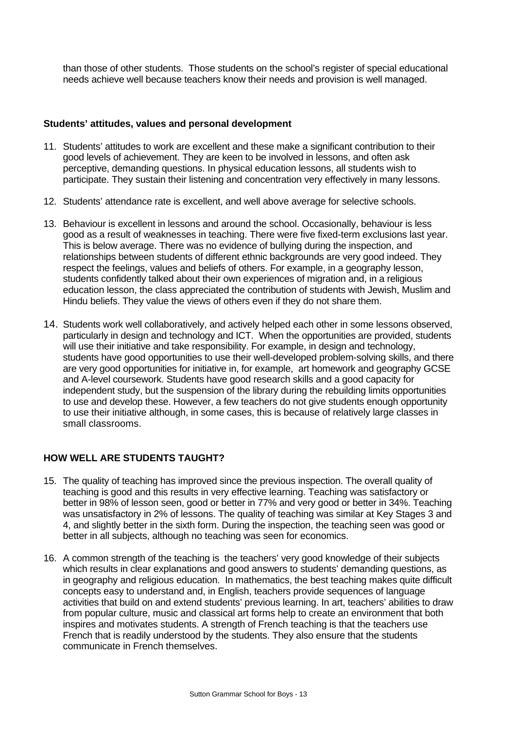than those of other students. Those students on the school's register of special educational needs achieve well because teachers know their needs and provision is well managed.

## **Students' attitudes, values and personal development**

- 11. Students' attitudes to work are excellent and these make a significant contribution to their good levels of achievement. They are keen to be involved in lessons, and often ask perceptive, demanding questions. In physical education lessons, all students wish to participate. They sustain their listening and concentration very effectively in many lessons.
- 12. Students' attendance rate is excellent, and well above average for selective schools.
- 13. Behaviour is excellent in lessons and around the school. Occasionally, behaviour is less good as a result of weaknesses in teaching. There were five fixed-term exclusions last year. This is below average. There was no evidence of bullying during the inspection, and relationships between students of different ethnic backgrounds are very good indeed. They respect the feelings, values and beliefs of others. For example, in a geography lesson, students confidently talked about their own experiences of migration and, in a religious education lesson, the class appreciated the contribution of students with Jewish, Muslim and Hindu beliefs. They value the views of others even if they do not share them.
- 14. Students work well collaboratively, and actively helped each other in some lessons observed, particularly in design and technology and ICT. When the opportunities are provided, students will use their initiative and take responsibility. For example, in design and technology, students have good opportunities to use their well-developed problem-solving skills, and there are very good opportunities for initiative in, for example, art homework and geography GCSE and A-level coursework. Students have good research skills and a good capacity for independent study, but the suspension of the library during the rebuilding limits opportunities to use and develop these. However, a few teachers do not give students enough opportunity to use their initiative although, in some cases, this is because of relatively large classes in small classrooms.

## **HOW WELL ARE STUDENTS TAUGHT?**

- 15. The quality of teaching has improved since the previous inspection. The overall quality of teaching is good and this results in very effective learning. Teaching was satisfactory or better in 98% of lesson seen, good or better in 77% and very good or better in 34%. Teaching was unsatisfactory in 2% of lessons. The quality of teaching was similar at Key Stages 3 and 4, and slightly better in the sixth form. During the inspection, the teaching seen was good or better in all subjects, although no teaching was seen for economics.
- 16. A common strength of the teaching is the teachers' very good knowledge of their subjects which results in clear explanations and good answers to students' demanding questions, as in geography and religious education. In mathematics, the best teaching makes quite difficult concepts easy to understand and, in English, teachers provide sequences of language activities that build on and extend students' previous learning. In art, teachers' abilities to draw from popular culture, music and classical art forms help to create an environment that both inspires and motivates students. A strength of French teaching is that the teachers use French that is readily understood by the students. They also ensure that the students communicate in French themselves.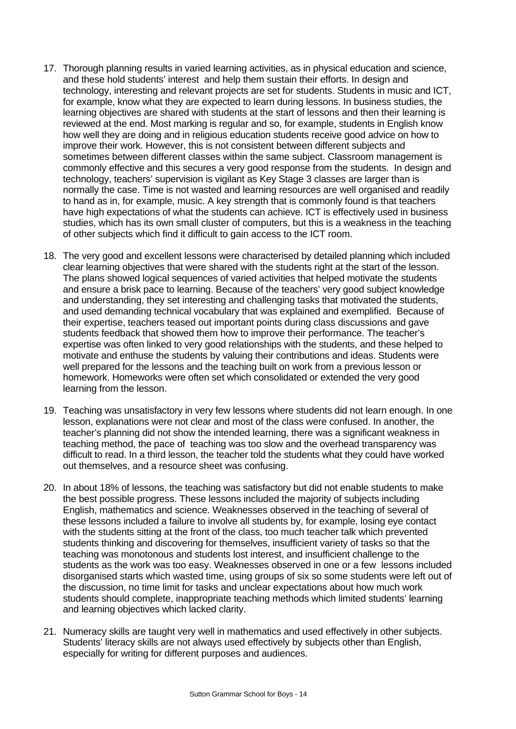- 17. Thorough planning results in varied learning activities, as in physical education and science, and these hold students' interest and help them sustain their efforts. In design and technology, interesting and relevant projects are set for students. Students in music and ICT, for example, know what they are expected to learn during lessons. In business studies, the learning objectives are shared with students at the start of lessons and then their learning is reviewed at the end. Most marking is regular and so, for example, students in English know how well they are doing and in religious education students receive good advice on how to improve their work. However, this is not consistent between different subjects and sometimes between different classes within the same subject. Classroom management is commonly effective and this secures a very good response from the students. In design and technology, teachers' supervision is vigilant as Key Stage 3 classes are larger than is normally the case. Time is not wasted and learning resources are well organised and readily to hand as in, for example, music. A key strength that is commonly found is that teachers have high expectations of what the students can achieve. ICT is effectively used in business studies, which has its own small cluster of computers, but this is a weakness in the teaching of other subjects which find it difficult to gain access to the ICT room.
- 18. The very good and excellent lessons were characterised by detailed planning which included clear learning objectives that were shared with the students right at the start of the lesson. The plans showed logical sequences of varied activities that helped motivate the students and ensure a brisk pace to learning. Because of the teachers' very good subject knowledge and understanding, they set interesting and challenging tasks that motivated the students, and used demanding technical vocabulary that was explained and exemplified. Because of their expertise, teachers teased out important points during class discussions and gave students feedback that showed them how to improve their performance. The teacher's expertise was often linked to very good relationships with the students, and these helped to motivate and enthuse the students by valuing their contributions and ideas. Students were well prepared for the lessons and the teaching built on work from a previous lesson or homework. Homeworks were often set which consolidated or extended the very good learning from the lesson.
- 19. Teaching was unsatisfactory in very few lessons where students did not learn enough. In one lesson, explanations were not clear and most of the class were confused. In another, the teacher's planning did not show the intended learning, there was a significant weakness in teaching method, the pace of teaching was too slow and the overhead transparency was difficult to read. In a third lesson, the teacher told the students what they could have worked out themselves, and a resource sheet was confusing.
- 20. In about 18% of lessons, the teaching was satisfactory but did not enable students to make the best possible progress. These lessons included the majority of subjects including English, mathematics and science. Weaknesses observed in the teaching of several of these lessons included a failure to involve all students by, for example, losing eye contact with the students sitting at the front of the class, too much teacher talk which prevented students thinking and discovering for themselves, insufficient variety of tasks so that the teaching was monotonous and students lost interest, and insufficient challenge to the students as the work was too easy. Weaknesses observed in one or a few lessons included disorganised starts which wasted time, using groups of six so some students were left out of the discussion, no time limit for tasks and unclear expectations about how much work students should complete, inappropriate teaching methods which limited students' learning and learning objectives which lacked clarity.
- 21. Numeracy skills are taught very well in mathematics and used effectively in other subjects. Students' literacy skills are not always used effectively by subjects other than English, especially for writing for different purposes and audiences.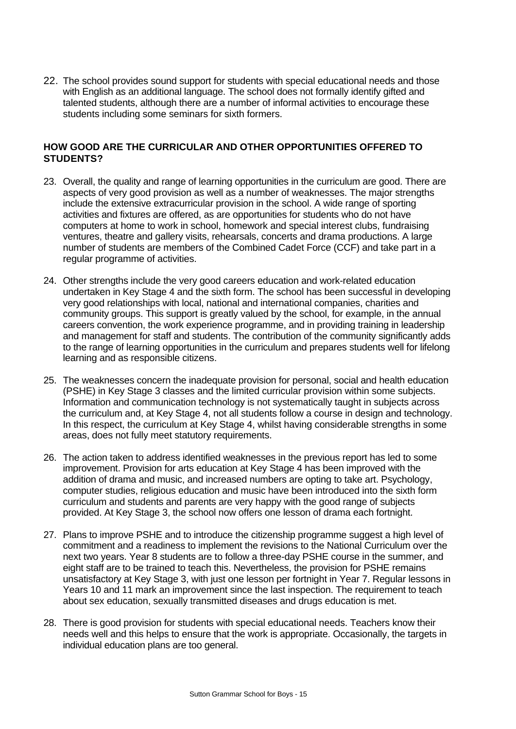22. The school provides sound support for students with special educational needs and those with English as an additional language. The school does not formally identify gifted and talented students, although there are a number of informal activities to encourage these students including some seminars for sixth formers.

## **HOW GOOD ARE THE CURRICULAR AND OTHER OPPORTUNITIES OFFERED TO STUDENTS?**

- 23. Overall, the quality and range of learning opportunities in the curriculum are good. There are aspects of very good provision as well as a number of weaknesses. The major strengths include the extensive extracurricular provision in the school. A wide range of sporting activities and fixtures are offered, as are opportunities for students who do not have computers at home to work in school, homework and special interest clubs, fundraising ventures, theatre and gallery visits, rehearsals, concerts and drama productions. A large number of students are members of the Combined Cadet Force (CCF) and take part in a regular programme of activities.
- 24. Other strengths include the very good careers education and work-related education undertaken in Key Stage 4 and the sixth form. The school has been successful in developing very good relationships with local, national and international companies, charities and community groups. This support is greatly valued by the school, for example, in the annual careers convention, the work experience programme, and in providing training in leadership and management for staff and students. The contribution of the community significantly adds to the range of learning opportunities in the curriculum and prepares students well for lifelong learning and as responsible citizens.
- 25. The weaknesses concern the inadequate provision for personal, social and health education (PSHE) in Key Stage 3 classes and the limited curricular provision within some subjects. Information and communication technology is not systematically taught in subjects across the curriculum and, at Key Stage 4, not all students follow a course in design and technology. In this respect, the curriculum at Key Stage 4, whilst having considerable strengths in some areas, does not fully meet statutory requirements.
- 26. The action taken to address identified weaknesses in the previous report has led to some improvement. Provision for arts education at Key Stage 4 has been improved with the addition of drama and music, and increased numbers are opting to take art. Psychology, computer studies, religious education and music have been introduced into the sixth form curriculum and students and parents are very happy with the good range of subjects provided. At Key Stage 3, the school now offers one lesson of drama each fortnight.
- 27. Plans to improve PSHE and to introduce the citizenship programme suggest a high level of commitment and a readiness to implement the revisions to the National Curriculum over the next two years. Year 8 students are to follow a three-day PSHE course in the summer, and eight staff are to be trained to teach this. Nevertheless, the provision for PSHE remains unsatisfactory at Key Stage 3, with just one lesson per fortnight in Year 7. Regular lessons in Years 10 and 11 mark an improvement since the last inspection. The requirement to teach about sex education, sexually transmitted diseases and drugs education is met.
- 28. There is good provision for students with special educational needs. Teachers know their needs well and this helps to ensure that the work is appropriate. Occasionally, the targets in individual education plans are too general.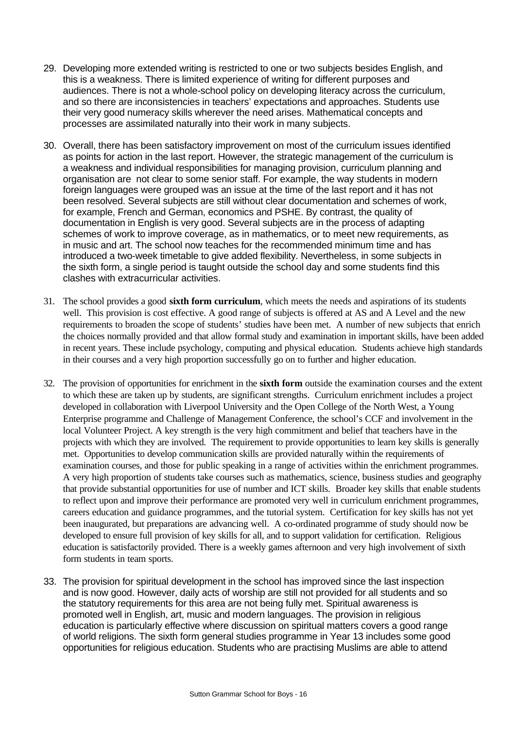- 29. Developing more extended writing is restricted to one or two subjects besides English, and this is a weakness. There is limited experience of writing for different purposes and audiences. There is not a whole-school policy on developing literacy across the curriculum, and so there are inconsistencies in teachers' expectations and approaches. Students use their very good numeracy skills wherever the need arises. Mathematical concepts and processes are assimilated naturally into their work in many subjects.
- 30. Overall, there has been satisfactory improvement on most of the curriculum issues identified as points for action in the last report. However, the strategic management of the curriculum is a weakness and individual responsibilities for managing provision, curriculum planning and organisation are not clear to some senior staff. For example, the way students in modern foreign languages were grouped was an issue at the time of the last report and it has not been resolved. Several subjects are still without clear documentation and schemes of work, for example, French and German, economics and PSHE. By contrast, the quality of documentation in English is very good. Several subjects are in the process of adapting schemes of work to improve coverage, as in mathematics, or to meet new requirements, as in music and art. The school now teaches for the recommended minimum time and has introduced a two-week timetable to give added flexibility. Nevertheless, in some subjects in the sixth form, a single period is taught outside the school day and some students find this clashes with extracurricular activities.
- 31. The school provides a good **sixth form curriculum**, which meets the needs and aspirations of its students well. This provision is cost effective. A good range of subjects is offered at AS and A Level and the new requirements to broaden the scope of students' studies have been met. A number of new subjects that enrich the choices normally provided and that allow formal study and examination in important skills, have been added in recent years. These include psychology, computing and physical education. Students achieve high standards in their courses and a very high proportion successfully go on to further and higher education.
- 32. The provision of opportunities for enrichment in the **sixth form** outside the examination courses and the extent to which these are taken up by students, are significant strengths. Curriculum enrichment includes a project developed in collaboration with Liverpool University and the Open College of the North West, a Young Enterprise programme and Challenge of Management Conference, the school's CCF and involvement in the local Volunteer Project. A key strength is the very high commitment and belief that teachers have in the projects with which they are involved. The requirement to provide opportunities to learn key skills is generally met. Opportunities to develop communication skills are provided naturally within the requirements of examination courses, and those for public speaking in a range of activities within the enrichment programmes. A very high proportion of students take courses such as mathematics, science, business studies and geography that provide substantial opportunities for use of number and ICT skills. Broader key skills that enable students to reflect upon and improve their performance are promoted very well in curriculum enrichment programmes, careers education and guidance programmes, and the tutorial system. Certification for key skills has not yet been inaugurated, but preparations are advancing well. A co-ordinated programme of study should now be developed to ensure full provision of key skills for all, and to support validation for certification. Religious education is satisfactorily provided. There is a weekly games afternoon and very high involvement of sixth form students in team sports.
- 33. The provision for spiritual development in the school has improved since the last inspection and is now good. However, daily acts of worship are still not provided for all students and so the statutory requirements for this area are not being fully met. Spiritual awareness is promoted well in English, art, music and modern languages. The provision in religious education is particularly effective where discussion on spiritual matters covers a good range of world religions. The sixth form general studies programme in Year 13 includes some good opportunities for religious education. Students who are practising Muslims are able to attend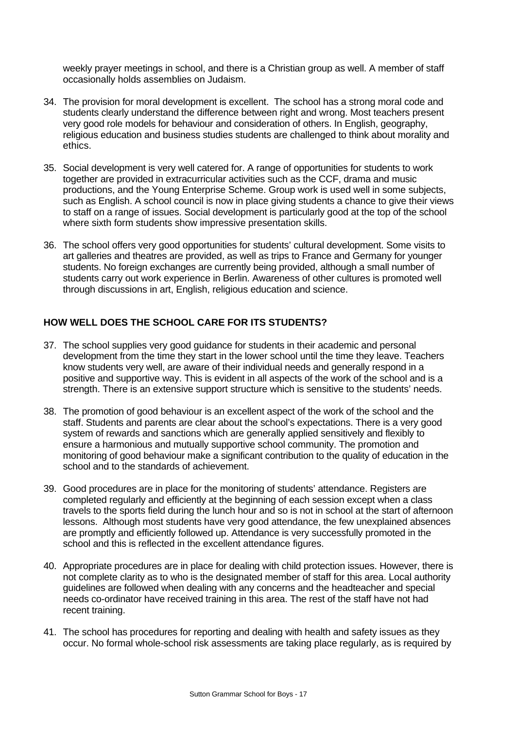weekly prayer meetings in school, and there is a Christian group as well. A member of staff occasionally holds assemblies on Judaism.

- 34. The provision for moral development is excellent. The school has a strong moral code and students clearly understand the difference between right and wrong. Most teachers present very good role models for behaviour and consideration of others. In English, geography, religious education and business studies students are challenged to think about morality and ethics.
- 35. Social development is very well catered for. A range of opportunities for students to work together are provided in extracurricular activities such as the CCF, drama and music productions, and the Young Enterprise Scheme. Group work is used well in some subjects, such as English. A school council is now in place giving students a chance to give their views to staff on a range of issues. Social development is particularly good at the top of the school where sixth form students show impressive presentation skills.
- 36. The school offers very good opportunities for students' cultural development. Some visits to art galleries and theatres are provided, as well as trips to France and Germany for younger students. No foreign exchanges are currently being provided, although a small number of students carry out work experience in Berlin. Awareness of other cultures is promoted well through discussions in art, English, religious education and science.

## **HOW WELL DOES THE SCHOOL CARE FOR ITS STUDENTS?**

- 37. The school supplies very good guidance for students in their academic and personal development from the time they start in the lower school until the time they leave. Teachers know students very well, are aware of their individual needs and generally respond in a positive and supportive way. This is evident in all aspects of the work of the school and is a strength. There is an extensive support structure which is sensitive to the students' needs.
- 38. The promotion of good behaviour is an excellent aspect of the work of the school and the staff. Students and parents are clear about the school's expectations. There is a very good system of rewards and sanctions which are generally applied sensitively and flexibly to ensure a harmonious and mutually supportive school community. The promotion and monitoring of good behaviour make a significant contribution to the quality of education in the school and to the standards of achievement.
- 39. Good procedures are in place for the monitoring of students' attendance. Registers are completed regularly and efficiently at the beginning of each session except when a class travels to the sports field during the lunch hour and so is not in school at the start of afternoon lessons. Although most students have very good attendance, the few unexplained absences are promptly and efficiently followed up. Attendance is very successfully promoted in the school and this is reflected in the excellent attendance figures.
- 40. Appropriate procedures are in place for dealing with child protection issues. However, there is not complete clarity as to who is the designated member of staff for this area. Local authority guidelines are followed when dealing with any concerns and the headteacher and special needs co-ordinator have received training in this area. The rest of the staff have not had recent training.
- 41. The school has procedures for reporting and dealing with health and safety issues as they occur. No formal whole-school risk assessments are taking place regularly, as is required by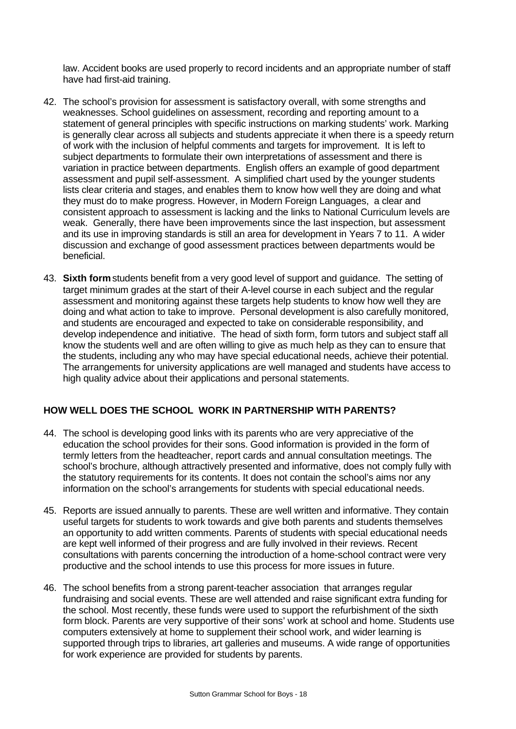law. Accident books are used properly to record incidents and an appropriate number of staff have had first-aid training.

- 42. The school's provision for assessment is satisfactory overall, with some strengths and weaknesses. School guidelines on assessment, recording and reporting amount to a statement of general principles with specific instructions on marking students' work. Marking is generally clear across all subjects and students appreciate it when there is a speedy return of work with the inclusion of helpful comments and targets for improvement. It is left to subject departments to formulate their own interpretations of assessment and there is variation in practice between departments. English offers an example of good department assessment and pupil self-assessment. A simplified chart used by the younger students lists clear criteria and stages, and enables them to know how well they are doing and what they must do to make progress. However, in Modern Foreign Languages, a clear and consistent approach to assessment is lacking and the links to National Curriculum levels are weak. Generally, there have been improvements since the last inspection, but assessment and its use in improving standards is still an area for development in Years 7 to 11. A wider discussion and exchange of good assessment practices between departments would be beneficial.
- 43. **Sixth form** students benefit from a very good level of support and guidance. The setting of target minimum grades at the start of their A-level course in each subject and the regular assessment and monitoring against these targets help students to know how well they are doing and what action to take to improve. Personal development is also carefully monitored, and students are encouraged and expected to take on considerable responsibility, and develop independence and initiative. The head of sixth form, form tutors and subject staff all know the students well and are often willing to give as much help as they can to ensure that the students, including any who may have special educational needs, achieve their potential. The arrangements for university applications are well managed and students have access to high quality advice about their applications and personal statements.

## **HOW WELL DOES THE SCHOOL WORK IN PARTNERSHIP WITH PARENTS?**

- 44. The school is developing good links with its parents who are very appreciative of the education the school provides for their sons. Good information is provided in the form of termly letters from the headteacher, report cards and annual consultation meetings. The school's brochure, although attractively presented and informative, does not comply fully with the statutory requirements for its contents. It does not contain the school's aims nor any information on the school's arrangements for students with special educational needs.
- 45. Reports are issued annually to parents. These are well written and informative. They contain useful targets for students to work towards and give both parents and students themselves an opportunity to add written comments. Parents of students with special educational needs are kept well informed of their progress and are fully involved in their reviews. Recent consultations with parents concerning the introduction of a home-school contract were very productive and the school intends to use this process for more issues in future.
- 46. The school benefits from a strong parent-teacher association that arranges regular fundraising and social events. These are well attended and raise significant extra funding for the school. Most recently, these funds were used to support the refurbishment of the sixth form block. Parents are very supportive of their sons' work at school and home. Students use computers extensively at home to supplement their school work, and wider learning is supported through trips to libraries, art galleries and museums. A wide range of opportunities for work experience are provided for students by parents.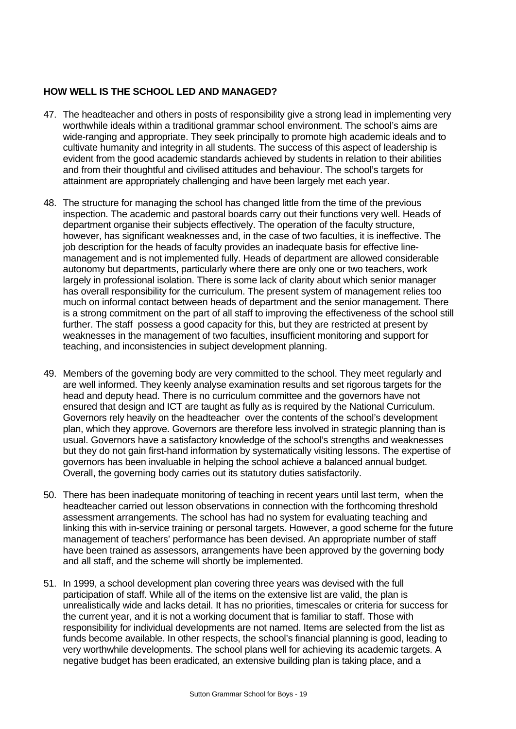## **HOW WELL IS THE SCHOOL LED AND MANAGED?**

- 47. The headteacher and others in posts of responsibility give a strong lead in implementing very worthwhile ideals within a traditional grammar school environment. The school's aims are wide-ranging and appropriate. They seek principally to promote high academic ideals and to cultivate humanity and integrity in all students. The success of this aspect of leadership is evident from the good academic standards achieved by students in relation to their abilities and from their thoughtful and civilised attitudes and behaviour. The school's targets for attainment are appropriately challenging and have been largely met each year.
- 48. The structure for managing the school has changed little from the time of the previous inspection. The academic and pastoral boards carry out their functions very well. Heads of department organise their subjects effectively. The operation of the faculty structure, however, has significant weaknesses and, in the case of two faculties, it is ineffective. The job description for the heads of faculty provides an inadequate basis for effective linemanagement and is not implemented fully. Heads of department are allowed considerable autonomy but departments, particularly where there are only one or two teachers, work largely in professional isolation. There is some lack of clarity about which senior manager has overall responsibility for the curriculum. The present system of management relies too much on informal contact between heads of department and the senior management. There is a strong commitment on the part of all staff to improving the effectiveness of the school still further. The staff possess a good capacity for this, but they are restricted at present by weaknesses in the management of two faculties, insufficient monitoring and support for teaching, and inconsistencies in subject development planning.
- 49. Members of the governing body are very committed to the school. They meet regularly and are well informed. They keenly analyse examination results and set rigorous targets for the head and deputy head. There is no curriculum committee and the governors have not ensured that design and ICT are taught as fully as is required by the National Curriculum. Governors rely heavily on the headteacher over the contents of the school's development plan, which they approve. Governors are therefore less involved in strategic planning than is usual. Governors have a satisfactory knowledge of the school's strengths and weaknesses but they do not gain first-hand information by systematically visiting lessons. The expertise of governors has been invaluable in helping the school achieve a balanced annual budget. Overall, the governing body carries out its statutory duties satisfactorily.
- 50. There has been inadequate monitoring of teaching in recent years until last term, when the headteacher carried out lesson observations in connection with the forthcoming threshold assessment arrangements. The school has had no system for evaluating teaching and linking this with in-service training or personal targets. However, a good scheme for the future management of teachers' performance has been devised. An appropriate number of staff have been trained as assessors, arrangements have been approved by the governing body and all staff, and the scheme will shortly be implemented.
- 51. In 1999, a school development plan covering three years was devised with the full participation of staff. While all of the items on the extensive list are valid, the plan is unrealistically wide and lacks detail. It has no priorities, timescales or criteria for success for the current year, and it is not a working document that is familiar to staff. Those with responsibility for individual developments are not named. Items are selected from the list as funds become available. In other respects, the school's financial planning is good, leading to very worthwhile developments. The school plans well for achieving its academic targets. A negative budget has been eradicated, an extensive building plan is taking place, and a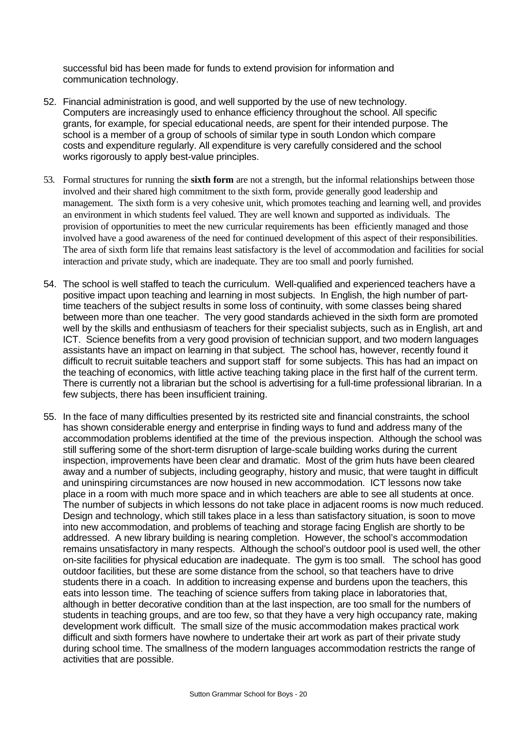successful bid has been made for funds to extend provision for information and communication technology.

- 52. Financial administration is good, and well supported by the use of new technology. Computers are increasingly used to enhance efficiency throughout the school. All specific grants, for example, for special educational needs, are spent for their intended purpose. The school is a member of a group of schools of similar type in south London which compare costs and expenditure regularly. All expenditure is very carefully considered and the school works rigorously to apply best-value principles.
- 53. Formal structures for running the **sixth form** are not a strength, but the informal relationships between those involved and their shared high commitment to the sixth form, provide generally good leadership and management. The sixth form is a very cohesive unit, which promotes teaching and learning well, and provides an environment in which students feel valued. They are well known and supported as individuals. The provision of opportunities to meet the new curricular requirements has been efficiently managed and those involved have a good awareness of the need for continued development of this aspect of their responsibilities. The area of sixth form life that remains least satisfactory is the level of accommodation and facilities for social interaction and private study, which are inadequate. They are too small and poorly furnished.
- 54. The school is well staffed to teach the curriculum. Well-qualified and experienced teachers have a positive impact upon teaching and learning in most subjects. In English, the high number of parttime teachers of the subject results in some loss of continuity, with some classes being shared between more than one teacher. The very good standards achieved in the sixth form are promoted well by the skills and enthusiasm of teachers for their specialist subjects, such as in English, art and ICT. Science benefits from a very good provision of technician support, and two modern languages assistants have an impact on learning in that subject. The school has, however, recently found it difficult to recruit suitable teachers and support staff for some subjects. This has had an impact on the teaching of economics, with little active teaching taking place in the first half of the current term. There is currently not a librarian but the school is advertising for a full-time professional librarian. In a few subjects, there has been insufficient training.
- 55. In the face of many difficulties presented by its restricted site and financial constraints, the school has shown considerable energy and enterprise in finding ways to fund and address many of the accommodation problems identified at the time of the previous inspection. Although the school was still suffering some of the short-term disruption of large-scale building works during the current inspection, improvements have been clear and dramatic. Most of the grim huts have been cleared away and a number of subjects, including geography, history and music, that were taught in difficult and uninspiring circumstances are now housed in new accommodation. ICT lessons now take place in a room with much more space and in which teachers are able to see all students at once. The number of subjects in which lessons do not take place in adjacent rooms is now much reduced. Design and technology, which still takes place in a less than satisfactory situation, is soon to move into new accommodation, and problems of teaching and storage facing English are shortly to be addressed. A new library building is nearing completion. However, the school's accommodation remains unsatisfactory in many respects. Although the school's outdoor pool is used well, the other on-site facilities for physical education are inadequate. The gym is too small. The school has good outdoor facilities, but these are some distance from the school, so that teachers have to drive students there in a coach. In addition to increasing expense and burdens upon the teachers, this eats into lesson time. The teaching of science suffers from taking place in laboratories that, although in better decorative condition than at the last inspection, are too small for the numbers of students in teaching groups, and are too few, so that they have a very high occupancy rate, making development work difficult. The small size of the music accommodation makes practical work difficult and sixth formers have nowhere to undertake their art work as part of their private study during school time. The smallness of the modern languages accommodation restricts the range of activities that are possible.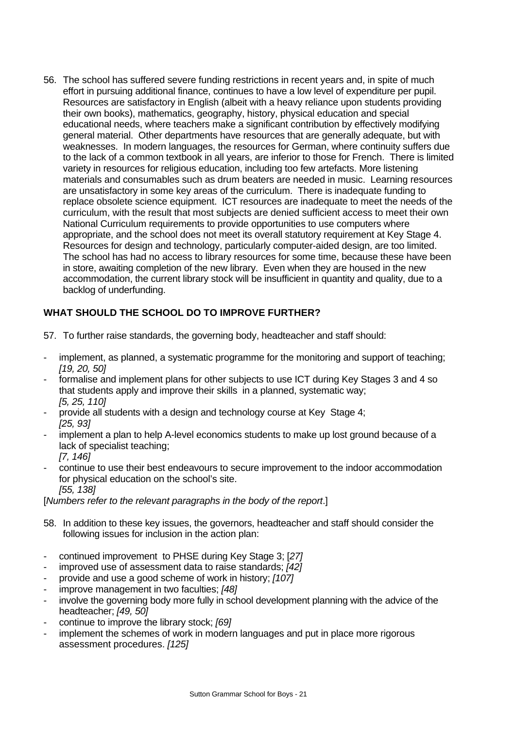56. The school has suffered severe funding restrictions in recent years and, in spite of much effort in pursuing additional finance, continues to have a low level of expenditure per pupil. Resources are satisfactory in English (albeit with a heavy reliance upon students providing their own books), mathematics, geography, history, physical education and special educational needs, where teachers make a significant contribution by effectively modifying general material. Other departments have resources that are generally adequate, but with weaknesses. In modern languages, the resources for German, where continuity suffers due to the lack of a common textbook in all years, are inferior to those for French. There is limited variety in resources for religious education, including too few artefacts. More listening materials and consumables such as drum beaters are needed in music. Learning resources are unsatisfactory in some key areas of the curriculum. There is inadequate funding to replace obsolete science equipment. ICT resources are inadequate to meet the needs of the curriculum, with the result that most subjects are denied sufficient access to meet their own National Curriculum requirements to provide opportunities to use computers where appropriate, and the school does not meet its overall statutory requirement at Key Stage 4. Resources for design and technology, particularly computer-aided design, are too limited. The school has had no access to library resources for some time, because these have been in store, awaiting completion of the new library. Even when they are housed in the new accommodation, the current library stock will be insufficient in quantity and quality, due to a backlog of underfunding.

## **WHAT SHOULD THE SCHOOL DO TO IMPROVE FURTHER?**

- 57. To further raise standards, the governing body, headteacher and staff should:
- implement, as planned, a systematic programme for the monitoring and support of teaching; *[19, 20, 50]*
- formalise and implement plans for other subjects to use ICT during Key Stages 3 and 4 so that students apply and improve their skills in a planned, systematic way; *[5, 25, 110]*
- provide all students with a design and technology course at Key Stage 4; *[25, 93]*
- implement a plan to help A-level economics students to make up lost ground because of a lack of specialist teaching; *[7, 146]*
- continue to use their best endeavours to secure improvement to the indoor accommodation for physical education on the school's site. *[55, 138]*

[*Numbers refer to the relevant paragraphs in the body of the report*.]

- 58. In addition to these key issues, the governors, headteacher and staff should consider the following issues for inclusion in the action plan:
- continued improvement to PHSE during Key Stage 3; [*27]*
- improved use of assessment data to raise standards; *[42]*
- provide and use a good scheme of work in history; *[107]*
- improve management in two faculties; *[48]*
- involve the governing body more fully in school development planning with the advice of the headteacher; *[49, 50]*
- continue to improve the library stock; *[69]*
- implement the schemes of work in modern languages and put in place more rigorous assessment procedures. *[125]*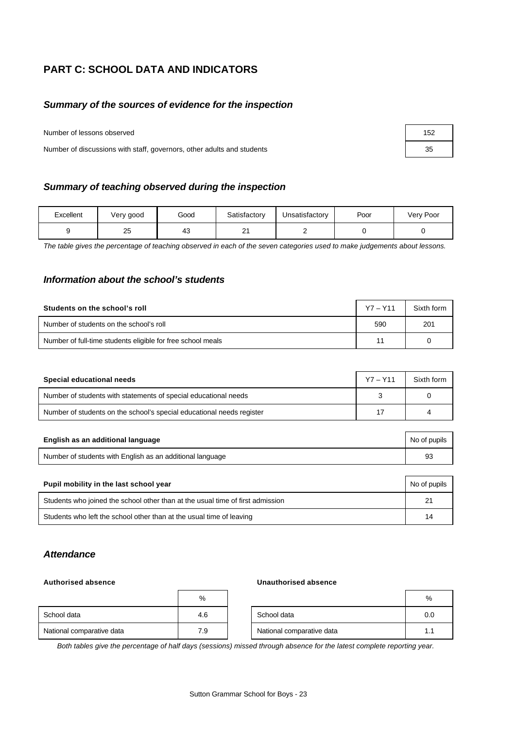## **PART C: SCHOOL DATA AND INDICATORS**

## *Summary of the sources of evidence for the inspection*

Number of lessons observed

Number of discussions with staff, governors, other adults and students

## *Summary of teaching observed during the inspection*

| Excellent | Very good | Good | Satisfactory   | Unsatisfactory | Poor | Very Poor |
|-----------|-----------|------|----------------|----------------|------|-----------|
|           | 25        | 43   | n,<br><u>.</u> | -              |      |           |

*The table gives the percentage of teaching observed in each of the seven categories used to make judgements about lessons.*

## *Information about the school's students*

| Students on the school's roll                               | $Y7 - Y11$ | Sixth form |
|-------------------------------------------------------------|------------|------------|
| Number of students on the school's roll                     | 590        | 201        |
| Number of full-time students eligible for free school meals |            |            |

| Special educational needs                                             | $Y7 - Y11$ | Sixth form |
|-----------------------------------------------------------------------|------------|------------|
| Number of students with statements of special educational needs       |            |            |
| Number of students on the school's special educational needs register | 17         |            |

| English as an additional language                         | No of pupils |
|-----------------------------------------------------------|--------------|
| Number of students with English as an additional language | 93           |

| Pupil mobility in the last school year                                         | No of pupils |
|--------------------------------------------------------------------------------|--------------|
| Students who joined the school other than at the usual time of first admission | 21           |
| Students who left the school other than at the usual time of leaving           | 14           |

## *Attendance*

#### **Authorised absence Unauthorised absence**

|                           | %   |                           | %   |
|---------------------------|-----|---------------------------|-----|
| School data               | 4.6 | School data               | 0.0 |
| National comparative data | 7.9 | National comparative data | ι.  |

*Both tables give the percentage of half days (sessions) missed through absence for the latest complete reporting year.*

| 152 |  |
|-----|--|
| 35  |  |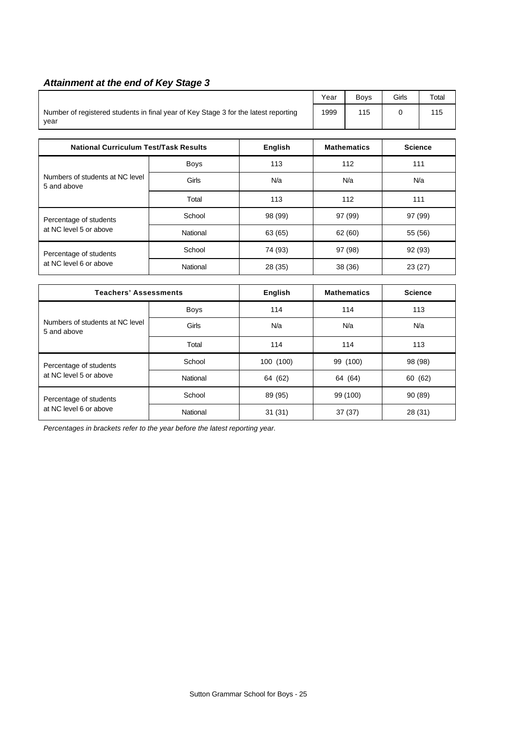## *Attainment at the end of Key Stage 3*

| <b>National Curriculum Test/Task Results</b><br>English                                     |  |  | <b>Mathematics</b> | <b>Science</b> |       |
|---------------------------------------------------------------------------------------------|--|--|--------------------|----------------|-------|
| Number of registered students in final year of Key Stage 3 for the latest reporting<br>year |  |  | 115                |                | 115   |
|                                                                                             |  |  | <b>Boys</b>        | Girls          | Total |

|                                                  |          | -       |         |         |
|--------------------------------------------------|----------|---------|---------|---------|
| Numbers of students at NC level<br>5 and above   | Boys     | 113     | 112     | 111     |
|                                                  | Girls    | N/a     | N/a     | N/a     |
|                                                  | Total    | 113     | 112     | 111     |
| Percentage of students                           | School   | 98 (99) | 97 (99) | 97 (99) |
| at NC level 5 or above                           | National | 63 (65) | 62 (60) | 55 (56) |
| Percentage of students<br>at NC level 6 or above | School   | 74 (93) | 97 (98) | 92 (93) |
|                                                  | National | 28 (35) | 38 (36) | 23(27)  |

| <b>Teachers' Assessments</b>                     |             | English   | <b>Mathematics</b> | <b>Science</b> |
|--------------------------------------------------|-------------|-----------|--------------------|----------------|
|                                                  | <b>Boys</b> | 114       | 114                | 113            |
| Numbers of students at NC level<br>5 and above   | Girls       | N/a       | N/a                | N/a            |
|                                                  | Total       | 114       | 114                | 113            |
| Percentage of students                           | School      | 100 (100) | 99 (100)           | 98 (98)        |
| at NC level 5 or above                           | National    | 64 (62)   | 64 (64)            | 60 (62)        |
| Percentage of students<br>at NC level 6 or above | School      | 89 (95)   | 99 (100)           | 90 (89)        |
|                                                  | National    | 31(31)    | 37(37)             | 28 (31)        |

*Percentages in brackets refer to the year before the latest reporting year.*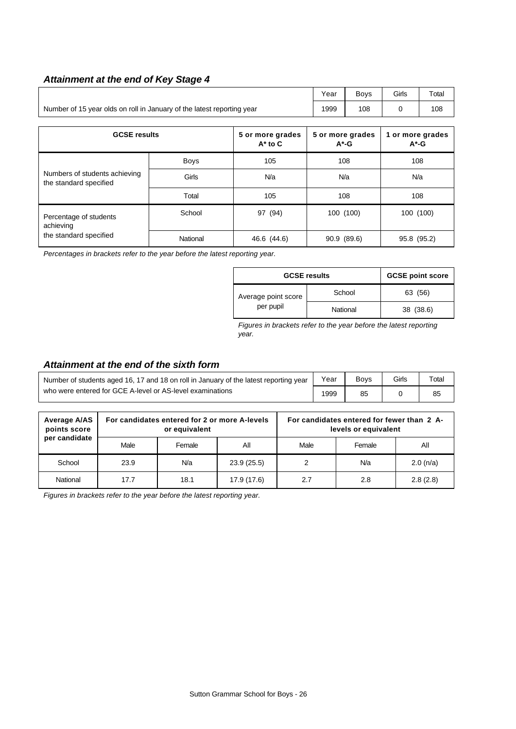## *Attainment at the end of Key Stage 4*

|                                                                        | Vear | <b>Bovs</b> | Girls | Total |
|------------------------------------------------------------------------|------|-------------|-------|-------|
| Number of 15 year olds on roll in January of the latest reporting year | 1999 | 108         |       | 108   |

| <b>GCSE results</b>                                     |             | 5 or more grades<br>$A^*$ to $C$ | 5 or more grades<br>$A^*$ -G | 1 or more grades<br>$A^*$ -G |
|---------------------------------------------------------|-------------|----------------------------------|------------------------------|------------------------------|
|                                                         | <b>Boys</b> | 105                              | 108                          | 108                          |
| Numbers of students achieving<br>the standard specified | Girls       | N/a                              | N/a                          | N/a                          |
|                                                         | Total       | 105                              | 108                          | 108                          |
| Percentage of students<br>achieving                     | School      | 97 (94)                          | 100 (100)                    | 100 (100)                    |
| the standard specified                                  | National    | 46.6 (44.6)                      | 90.9 (89.6)                  | 95.8 (95.2)                  |

*Percentages in brackets refer to the year before the latest reporting year.*

| <b>GCSE results</b> |          | <b>GCSE point score</b> |
|---------------------|----------|-------------------------|
| Average point score | School   | 63 (56)                 |
| per pupil           | National | 38 (38.6)               |

*Figures in brackets refer to the year before the latest reporting year.*

## *Attainment at the end of the sixth form*

| Number of students aged 16, 17 and 18 on roll in January of the latest reporting year |      | <b>Bovs</b> | <b>Girls</b> | $\tau$ otal |
|---------------------------------------------------------------------------------------|------|-------------|--------------|-------------|
| who were entered for GCE A-level or AS-level examinations                             | 1999 | 85          |              | 85          |

| Average A/AS<br>points score |      | For candidates entered for 2 or more A-levels<br>or equivalent |             | For candidates entered for fewer than 2 A-<br>levels or equivalent |        |             |  |
|------------------------------|------|----------------------------------------------------------------|-------------|--------------------------------------------------------------------|--------|-------------|--|
| per candidate                | Male | Female                                                         | Αll         | Male                                                               | Female | Αll         |  |
| School                       | 23.9 | N/a                                                            | 23.9(25.5)  | 2                                                                  | N/a    | $2.0$ (n/a) |  |
| National                     | 17.7 | 18.1                                                           | 17.9 (17.6) | 2.7                                                                | 2.8    | 2.8(2.8)    |  |

*Figures in brackets refer to the year before the latest reporting year.*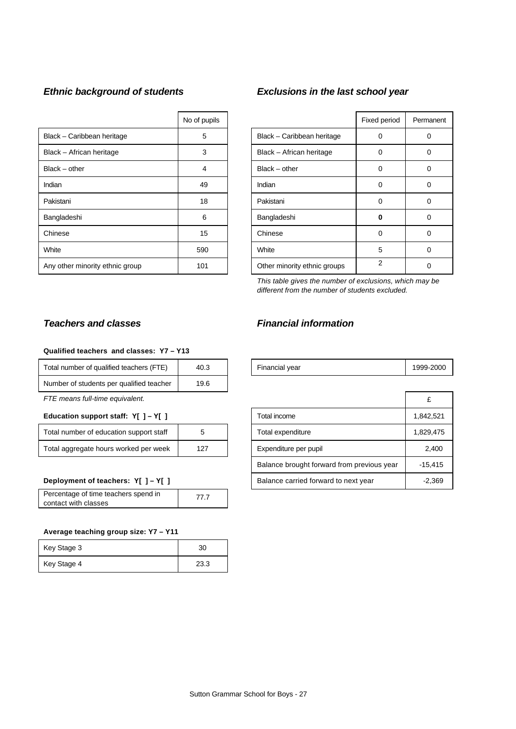|                                 | No of pupils |                              | Fixed period | Perma |
|---------------------------------|--------------|------------------------------|--------------|-------|
| Black - Caribbean heritage      | 5            | Black - Caribbean heritage   | 0            | 0     |
| Black - African heritage        | 3            | Black - African heritage     | 0            | 0     |
| $Black - other$                 | 4            | $Black - other$              | 0            | 0     |
| Indian                          | 49           | Indian                       | 0            | 0     |
| Pakistani                       | 18           | Pakistani                    | 0            | 0     |
| Bangladeshi                     | 6            | Bangladeshi                  | ŋ            | 0     |
| Chinese                         | 15           | Chinese                      | 0            | 0     |
| White                           | 590          | White                        | 5            | 0     |
| Any other minority ethnic group | 101          | Other minority ethnic groups | 2            | 0     |

## *Ethnic background of students Exclusions in the last school year*

| No of pupils |                              | Fixed period   | Permanent |
|--------------|------------------------------|----------------|-----------|
| 5            | Black - Caribbean heritage   | Ω              |           |
| 3            | Black - African heritage     | O              |           |
| 4            | Black - other                | 0              | Ω         |
| 49           | Indian                       | 0              | 0         |
| 18           | Pakistani                    | 0              | 0         |
| 6            | Bangladeshi                  | 0              | Ω         |
| 15           | Chinese                      | 0              | Ω         |
| 590          | White                        | 5              |           |
| 101          | Other minority ethnic groups | $\mathfrak{p}$ |           |

*This table gives the number of exclusions, which may be different from the number of students excluded.*

## **Qualified teachers and classes: Y7 – Y13**

| Total number of qualified teachers (FTE) | 40.3 |
|------------------------------------------|------|
| Number of students per qualified teacher | 19.6 |

#### **Education support staff: Y[ ] - Y[ ]**

| Total number of education support staff |     |
|-----------------------------------------|-----|
| Total aggregate hours worked per week   | 127 |

#### **Deployment of teachers: Y[ ] - Y[ ]**

| Percentage of time teachers spend in | 77 7 |
|--------------------------------------|------|
| contact with classes                 |      |

#### **Average teaching group size: Y7 – Y11**

| Key Stage 3 | 30   |
|-------------|------|
| Key Stage 4 | 23.3 |

#### *Teachers and classes Financial information*

| <br>$\overline{\phantom{a}}$<br>Гоtal<br>number of<br>aualified teachers *<br>ᅚ | 40.⊾ | <b>Financial vear</b> | - - - | 1999-2000 |
|---------------------------------------------------------------------------------|------|-----------------------|-------|-----------|
|---------------------------------------------------------------------------------|------|-----------------------|-------|-----------|

| FTE means full-time equivalent.              |   |                                            |           |
|----------------------------------------------|---|--------------------------------------------|-----------|
| Education support staff: $Y[ ] - Y[ ]$       |   | Total income                               | 1,842,521 |
| Total number of education support staff      | 5 | Total expenditure                          | 1,829,475 |
| Total aggregate hours worked per week<br>127 |   | Expenditure per pupil                      | 2,400     |
|                                              |   | Balance brought forward from previous year | $-15.415$ |
| Deployment of teachers: Y[ ] - Y[ ]          |   | Balance carried forward to next year       | $-2,369$  |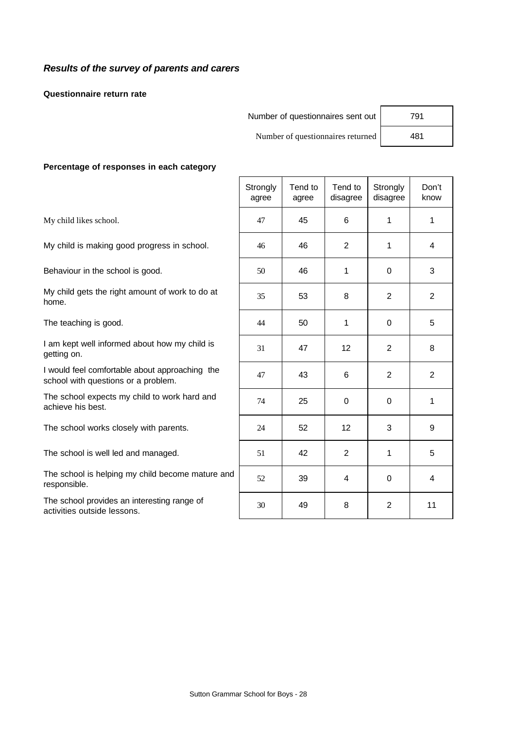## *Results of the survey of parents and carers*

**Questionnaire return rate**

| Number of questionnaires sent out | 791 |
|-----------------------------------|-----|
|                                   |     |

Number of questionnaires returned 481

#### **Percentage of responses in each category**

|                                                                                       | Strongly<br>agree | Tend to<br>agree | Tend to<br>disagree | Strongly<br>disagree | Don't<br>know  |
|---------------------------------------------------------------------------------------|-------------------|------------------|---------------------|----------------------|----------------|
| My child likes school.                                                                | 47                | 45               | 6                   | 1                    | 1              |
| My child is making good progress in school.                                           | 46                | 46               | 2                   | $\mathbf 1$          | 4              |
| Behaviour in the school is good.                                                      | 50                | 46               | 1                   | 0                    | 3              |
| My child gets the right amount of work to do at<br>home.                              | 35                | 53               | 8                   | $\overline{2}$       | $\overline{2}$ |
| The teaching is good.                                                                 | 44                | 50               | 1                   | 0                    | 5              |
| I am kept well informed about how my child is<br>getting on.                          | 31                | 47               | 12                  | $\overline{2}$       | 8              |
| I would feel comfortable about approaching the<br>school with questions or a problem. | 47                | 43               | 6                   | $\overline{2}$       | 2              |
| The school expects my child to work hard and<br>achieve his best.                     | 74                | 25               | 0                   | 0                    | 1              |
| The school works closely with parents.                                                | 24                | 52               | 12                  | 3                    | 9              |
| The school is well led and managed.                                                   | 51                | 42               | $\overline{2}$      | 1                    | 5              |
| The school is helping my child become mature and<br>responsible.                      | 52                | 39               | 4                   | 0                    | 4              |
| The school provides an interesting range of<br>activities outside lessons.            | 30                | 49               | 8                   | $\mathbf{2}$         | 11             |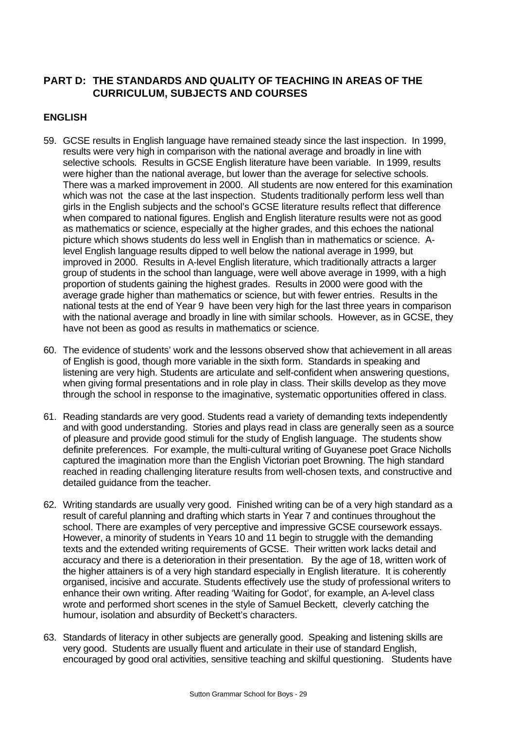## **PART D: THE STANDARDS AND QUALITY OF TEACHING IN AREAS OF THE CURRICULUM, SUBJECTS AND COURSES**

## **ENGLISH**

- 59. GCSE results in English language have remained steady since the last inspection. In 1999, results were very high in comparison with the national average and broadly in line with selective schools. Results in GCSE English literature have been variable. In 1999, results were higher than the national average, but lower than the average for selective schools. There was a marked improvement in 2000. All students are now entered for this examination which was not the case at the last inspection. Students traditionally perform less well than girls in the English subjects and the school's GCSE literature results reflect that difference when compared to national figures. English and English literature results were not as good as mathematics or science, especially at the higher grades, and this echoes the national picture which shows students do less well in English than in mathematics or science. Alevel English language results dipped to well below the national average in 1999, but improved in 2000. Results in A-level English literature, which traditionally attracts a larger group of students in the school than language, were well above average in 1999, with a high proportion of students gaining the highest grades. Results in 2000 were good with the average grade higher than mathematics or science, but with fewer entries. Results in the national tests at the end of Year 9 have been very high for the last three years in comparison with the national average and broadly in line with similar schools. However, as in GCSE, they have not been as good as results in mathematics or science.
- 60. The evidence of students' work and the lessons observed show that achievement in all areas of English is good, though more variable in the sixth form. Standards in speaking and listening are very high. Students are articulate and self-confident when answering questions, when giving formal presentations and in role play in class. Their skills develop as they move through the school in response to the imaginative, systematic opportunities offered in class.
- 61. Reading standards are very good. Students read a variety of demanding texts independently and with good understanding. Stories and plays read in class are generally seen as a source of pleasure and provide good stimuli for the study of English language. The students show definite preferences. For example, the multi-cultural writing of Guyanese poet Grace Nicholls captured the imagination more than the English Victorian poet Browning. The high standard reached in reading challenging literature results from well-chosen texts, and constructive and detailed guidance from the teacher.
- 62. Writing standards are usually very good. Finished writing can be of a very high standard as a result of careful planning and drafting which starts in Year 7 and continues throughout the school. There are examples of very perceptive and impressive GCSE coursework essays. However, a minority of students in Years 10 and 11 begin to struggle with the demanding texts and the extended writing requirements of GCSE. Their written work lacks detail and accuracy and there is a deterioration in their presentation. By the age of 18, written work of the higher attainers is of a very high standard especially in English literature. It is coherently organised, incisive and accurate. Students effectively use the study of professional writers to enhance their own writing. After reading 'Waiting for Godot', for example, an A-level class wrote and performed short scenes in the style of Samuel Beckett, cleverly catching the humour, isolation and absurdity of Beckett's characters.
- 63. Standards of literacy in other subjects are generally good. Speaking and listening skills are very good. Students are usually fluent and articulate in their use of standard English, encouraged by good oral activities, sensitive teaching and skilful questioning.Students have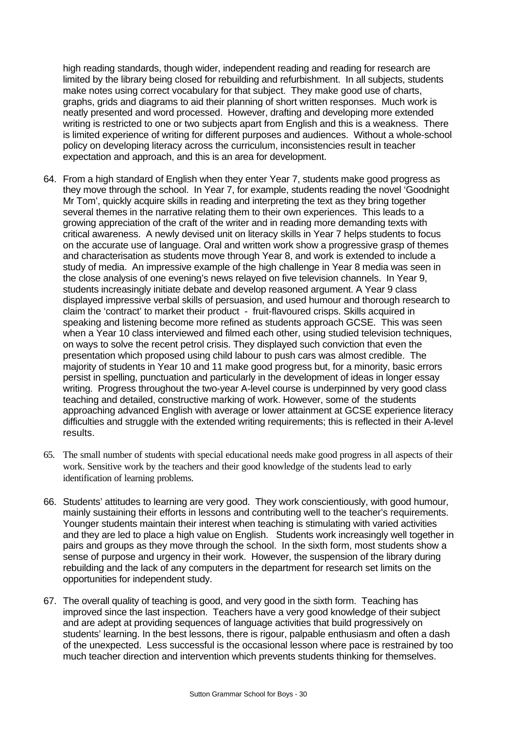high reading standards, though wider, independent reading and reading for research are limited by the library being closed for rebuilding and refurbishment. In all subjects, students make notes using correct vocabulary for that subject. They make good use of charts, graphs, grids and diagrams to aid their planning of short written responses. Much work is neatly presented and word processed. However, drafting and developing more extended writing is restricted to one or two subjects apart from English and this is a weakness. There is limited experience of writing for different purposes and audiences. Without a whole-school policy on developing literacy across the curriculum, inconsistencies result in teacher expectation and approach, and this is an area for development.

- 64. From a high standard of English when they enter Year 7, students make good progress as they move through the school. In Year 7, for example, students reading the novel 'Goodnight Mr Tom', quickly acquire skills in reading and interpreting the text as they bring together several themes in the narrative relating them to their own experiences. This leads to a growing appreciation of the craft of the writer and in reading more demanding texts with critical awareness. A newly devised unit on literacy skills in Year 7 helps students to focus on the accurate use of language. Oral and written work show a progressive grasp of themes and characterisation as students move through Year 8, and work is extended to include a study of media. An impressive example of the high challenge in Year 8 media was seen in the close analysis of one evening's news relayed on five television channels. In Year 9, students increasingly initiate debate and develop reasoned argument. A Year 9 class displayed impressive verbal skills of persuasion, and used humour and thorough research to claim the 'contract' to market their product - fruit-flavoured crisps. Skills acquired in speaking and listening become more refined as students approach GCSE. This was seen when a Year 10 class interviewed and filmed each other, using studied television techniques, on ways to solve the recent petrol crisis. They displayed such conviction that even the presentation which proposed using child labour to push cars was almost credible. The majority of students in Year 10 and 11 make good progress but, for a minority, basic errors persist in spelling, punctuation and particularly in the development of ideas in longer essay writing. Progress throughout the two-year A-level course is underpinned by very good class teaching and detailed, constructive marking of work. However, some of the students approaching advanced English with average or lower attainment at GCSE experience literacy difficulties and struggle with the extended writing requirements; this is reflected in their A-level results.
- 65. The small number of students with special educational needs make good progress in all aspects of their work. Sensitive work by the teachers and their good knowledge of the students lead to early identification of learning problems.
- 66. Students' attitudes to learning are very good. They work conscientiously, with good humour, mainly sustaining their efforts in lessons and contributing well to the teacher's requirements. Younger students maintain their interest when teaching is stimulating with varied activities and they are led to place a high value on English. Students work increasingly well together in pairs and groups as they move through the school. In the sixth form, most students show a sense of purpose and urgency in their work. However, the suspension of the library during rebuilding and the lack of any computers in the department for research set limits on the opportunities for independent study.
- 67. The overall quality of teaching is good, and very good in the sixth form. Teaching has improved since the last inspection. Teachers have a very good knowledge of their subject and are adept at providing sequences of language activities that build progressively on students' learning. In the best lessons, there is rigour, palpable enthusiasm and often a dash of the unexpected. Less successful is the occasional lesson where pace is restrained by too much teacher direction and intervention which prevents students thinking for themselves.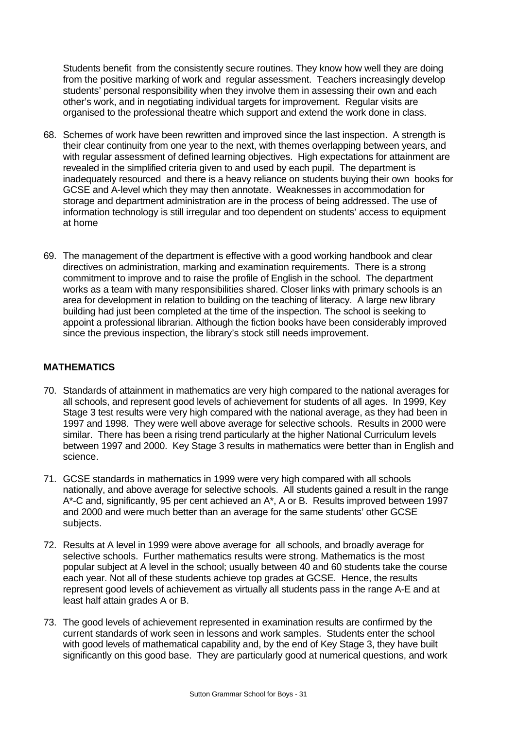Students benefit from the consistently secure routines. They know how well they are doing from the positive marking of work and regular assessment. Teachers increasingly develop students' personal responsibility when they involve them in assessing their own and each other's work, and in negotiating individual targets for improvement. Regular visits are organised to the professional theatre which support and extend the work done in class.

- 68. Schemes of work have been rewritten and improved since the last inspection. A strength is their clear continuity from one year to the next, with themes overlapping between years, and with regular assessment of defined learning objectives. High expectations for attainment are revealed in the simplified criteria given to and used by each pupil. The department is inadequately resourced and there is a heavy reliance on students buying their own books for GCSE and A-level which they may then annotate. Weaknesses in accommodation for storage and department administration are in the process of being addressed. The use of information technology is still irregular and too dependent on students' access to equipment at home
- 69. The management of the department is effective with a good working handbook and clear directives on administration, marking and examination requirements. There is a strong commitment to improve and to raise the profile of English in the school. The department works as a team with many responsibilities shared. Closer links with primary schools is an area for development in relation to building on the teaching of literacy. A large new library building had just been completed at the time of the inspection. The school is seeking to appoint a professional librarian. Although the fiction books have been considerably improved since the previous inspection, the library's stock still needs improvement.

## **MATHEMATICS**

- 70. Standards of attainment in mathematics are very high compared to the national averages for all schools, and represent good levels of achievement for students of all ages. In 1999, Key Stage 3 test results were very high compared with the national average, as they had been in 1997 and 1998. They were well above average for selective schools. Results in 2000 were similar. There has been a rising trend particularly at the higher National Curriculum levels between 1997 and 2000. Key Stage 3 results in mathematics were better than in English and science.
- 71. GCSE standards in mathematics in 1999 were very high compared with all schools nationally, and above average for selective schools. All students gained a result in the range A\*-C and, significantly, 95 per cent achieved an A\*, A or B. Results improved between 1997 and 2000 and were much better than an average for the same students' other GCSE subjects.
- 72. Results at A level in 1999 were above average for all schools, and broadly average for selective schools. Further mathematics results were strong. Mathematics is the most popular subject at A level in the school; usually between 40 and 60 students take the course each year. Not all of these students achieve top grades at GCSE. Hence, the results represent good levels of achievement as virtually all students pass in the range A-E and at least half attain grades A or B.
- 73. The good levels of achievement represented in examination results are confirmed by the current standards of work seen in lessons and work samples. Students enter the school with good levels of mathematical capability and, by the end of Key Stage 3, they have built significantly on this good base. They are particularly good at numerical questions, and work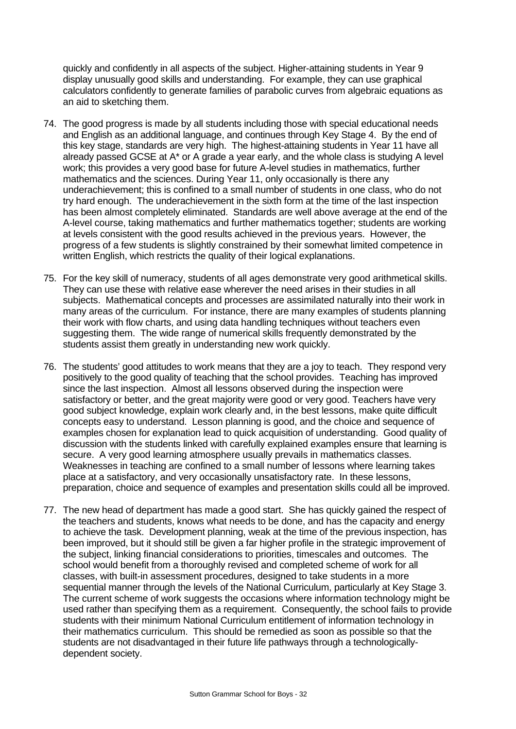quickly and confidently in all aspects of the subject. Higher-attaining students in Year 9 display unusually good skills and understanding. For example, they can use graphical calculators confidently to generate families of parabolic curves from algebraic equations as an aid to sketching them.

- 74. The good progress is made by all students including those with special educational needs and English as an additional language, and continues through Key Stage 4. By the end of this key stage, standards are very high. The highest-attaining students in Year 11 have all already passed GCSE at A\* or A grade a year early, and the whole class is studying A level work; this provides a very good base for future A-level studies in mathematics, further mathematics and the sciences. During Year 11, only occasionally is there any underachievement; this is confined to a small number of students in one class, who do not try hard enough. The underachievement in the sixth form at the time of the last inspection has been almost completely eliminated. Standards are well above average at the end of the A-level course, taking mathematics and further mathematics together; students are working at levels consistent with the good results achieved in the previous years. However, the progress of a few students is slightly constrained by their somewhat limited competence in written English, which restricts the quality of their logical explanations.
- 75. For the key skill of numeracy, students of all ages demonstrate very good arithmetical skills. They can use these with relative ease wherever the need arises in their studies in all subjects. Mathematical concepts and processes are assimilated naturally into their work in many areas of the curriculum. For instance, there are many examples of students planning their work with flow charts, and using data handling techniques without teachers even suggesting them. The wide range of numerical skills frequently demonstrated by the students assist them greatly in understanding new work quickly.
- 76. The students' good attitudes to work means that they are a joy to teach. They respond very positively to the good quality of teaching that the school provides. Teaching has improved since the last inspection. Almost all lessons observed during the inspection were satisfactory or better, and the great majority were good or very good. Teachers have very good subject knowledge, explain work clearly and, in the best lessons, make quite difficult concepts easy to understand. Lesson planning is good, and the choice and sequence of examples chosen for explanation lead to quick acquisition of understanding. Good quality of discussion with the students linked with carefully explained examples ensure that learning is secure. A very good learning atmosphere usually prevails in mathematics classes. Weaknesses in teaching are confined to a small number of lessons where learning takes place at a satisfactory, and very occasionally unsatisfactory rate. In these lessons, preparation, choice and sequence of examples and presentation skills could all be improved.
- 77. The new head of department has made a good start. She has quickly gained the respect of the teachers and students, knows what needs to be done, and has the capacity and energy to achieve the task. Development planning, weak at the time of the previous inspection, has been improved, but it should still be given a far higher profile in the strategic improvement of the subject, linking financial considerations to priorities, timescales and outcomes. The school would benefit from a thoroughly revised and completed scheme of work for all classes, with built-in assessment procedures, designed to take students in a more sequential manner through the levels of the National Curriculum, particularly at Key Stage 3. The current scheme of work suggests the occasions where information technology might be used rather than specifying them as a requirement. Consequently, the school fails to provide students with their minimum National Curriculum entitlement of information technology in their mathematics curriculum. This should be remedied as soon as possible so that the students are not disadvantaged in their future life pathways through a technologicallydependent society.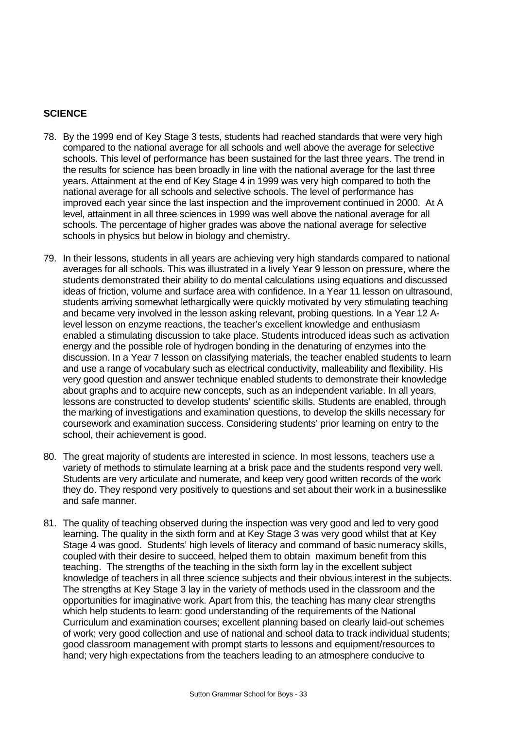## **SCIENCE**

- 78. By the 1999 end of Key Stage 3 tests, students had reached standards that were very high compared to the national average for all schools and well above the average for selective schools. This level of performance has been sustained for the last three years. The trend in the results for science has been broadly in line with the national average for the last three years. Attainment at the end of Key Stage 4 in 1999 was very high compared to both the national average for all schools and selective schools. The level of performance has improved each year since the last inspection and the improvement continued in 2000. At A level, attainment in all three sciences in 1999 was well above the national average for all schools. The percentage of higher grades was above the national average for selective schools in physics but below in biology and chemistry.
- 79. In their lessons, students in all years are achieving very high standards compared to national averages for all schools. This was illustrated in a lively Year 9 lesson on pressure, where the students demonstrated their ability to do mental calculations using equations and discussed ideas of friction, volume and surface area with confidence. In a Year 11 lesson on ultrasound, students arriving somewhat lethargically were quickly motivated by very stimulating teaching and became very involved in the lesson asking relevant, probing questions. In a Year 12 Alevel lesson on enzyme reactions, the teacher's excellent knowledge and enthusiasm enabled a stimulating discussion to take place. Students introduced ideas such as activation energy and the possible role of hydrogen bonding in the denaturing of enzymes into the discussion. In a Year 7 lesson on classifying materials, the teacher enabled students to learn and use a range of vocabulary such as electrical conductivity, malleability and flexibility. His very good question and answer technique enabled students to demonstrate their knowledge about graphs and to acquire new concepts, such as an independent variable. In all years, lessons are constructed to develop students' scientific skills. Students are enabled, through the marking of investigations and examination questions, to develop the skills necessary for coursework and examination success. Considering students' prior learning on entry to the school, their achievement is good.
- 80. The great majority of students are interested in science. In most lessons, teachers use a variety of methods to stimulate learning at a brisk pace and the students respond very well. Students are very articulate and numerate, and keep very good written records of the work they do. They respond very positively to questions and set about their work in a businesslike and safe manner.
- 81. The quality of teaching observed during the inspection was very good and led to very good learning. The quality in the sixth form and at Key Stage 3 was very good whilst that at Key Stage 4 was good. Students' high levels of literacy and command of basic numeracy skills, coupled with their desire to succeed, helped them to obtain maximum benefit from this teaching. The strengths of the teaching in the sixth form lay in the excellent subject knowledge of teachers in all three science subjects and their obvious interest in the subjects. The strengths at Key Stage 3 lay in the variety of methods used in the classroom and the opportunities for imaginative work. Apart from this, the teaching has many clear strengths which help students to learn: good understanding of the requirements of the National Curriculum and examination courses; excellent planning based on clearly laid-out schemes of work; very good collection and use of national and school data to track individual students; good classroom management with prompt starts to lessons and equipment/resources to hand; very high expectations from the teachers leading to an atmosphere conducive to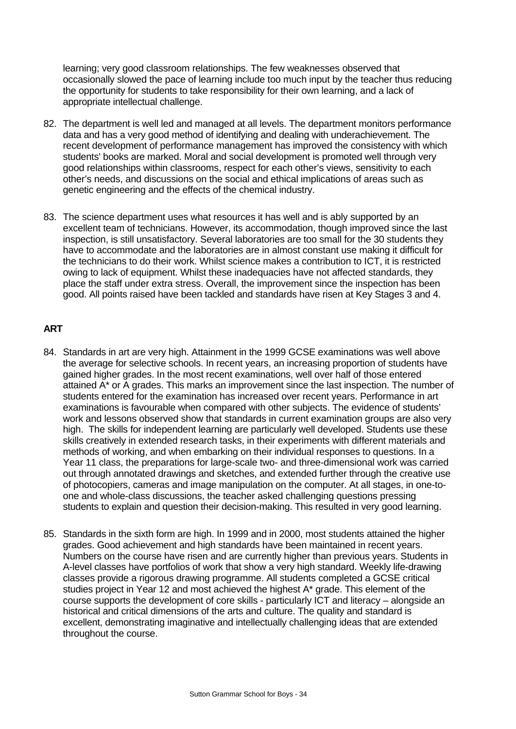learning; very good classroom relationships. The few weaknesses observed that occasionally slowed the pace of learning include too much input by the teacher thus reducing the opportunity for students to take responsibility for their own learning, and a lack of appropriate intellectual challenge.

- 82. The department is well led and managed at all levels. The department monitors performance data and has a very good method of identifying and dealing with underachievement. The recent development of performance management has improved the consistency with which students' books are marked. Moral and social development is promoted well through very good relationships within classrooms, respect for each other's views, sensitivity to each other's needs, and discussions on the social and ethical implications of areas such as genetic engineering and the effects of the chemical industry.
- 83. The science department uses what resources it has well and is ably supported by an excellent team of technicians. However, its accommodation, though improved since the last inspection, is still unsatisfactory. Several laboratories are too small for the 30 students they have to accommodate and the laboratories are in almost constant use making it difficult for the technicians to do their work. Whilst science makes a contribution to ICT, it is restricted owing to lack of equipment. Whilst these inadequacies have not affected standards, they place the staff under extra stress. Overall, the improvement since the inspection has been good. All points raised have been tackled and standards have risen at Key Stages 3 and 4.

## **ART**

- 84. Standards in art are very high. Attainment in the 1999 GCSE examinations was well above the average for selective schools. In recent years, an increasing proportion of students have gained higher grades. In the most recent examinations, well over half of those entered attained A\* or A grades. This marks an improvement since the last inspection. The number of students entered for the examination has increased over recent years. Performance in art examinations is favourable when compared with other subjects. The evidence of students' work and lessons observed show that standards in current examination groups are also very high. The skills for independent learning are particularly well developed. Students use these skills creatively in extended research tasks, in their experiments with different materials and methods of working, and when embarking on their individual responses to questions. In a Year 11 class, the preparations for large-scale two- and three-dimensional work was carried out through annotated drawings and sketches, and extended further through the creative use of photocopiers, cameras and image manipulation on the computer. At all stages, in one-toone and whole-class discussions, the teacher asked challenging questions pressing students to explain and question their decision-making. This resulted in very good learning.
- 85. Standards in the sixth form are high. In 1999 and in 2000, most students attained the higher grades. Good achievement and high standards have been maintained in recent years. Numbers on the course have risen and are currently higher than previous years. Students in A-level classes have portfolios of work that show a very high standard. Weekly life-drawing classes provide a rigorous drawing programme. All students completed a GCSE critical studies project in Year 12 and most achieved the highest A\* grade. This element of the course supports the development of core skills - particularly ICT and literacy – alongside an historical and critical dimensions of the arts and culture. The quality and standard is excellent, demonstrating imaginative and intellectually challenging ideas that are extended throughout the course.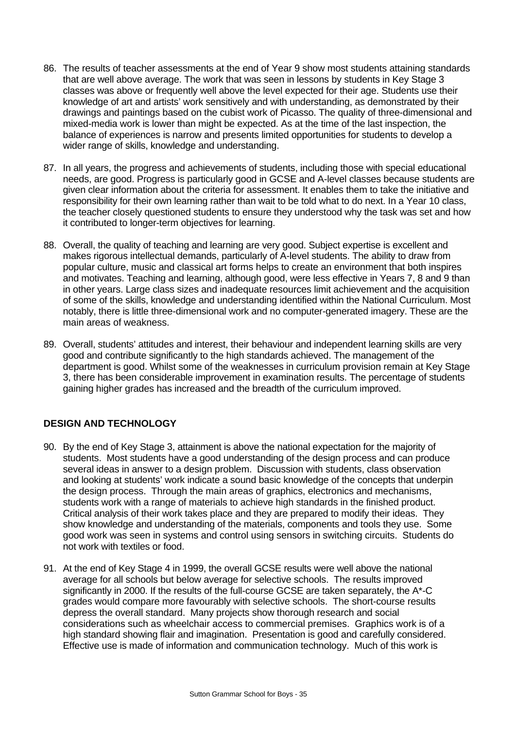- 86. The results of teacher assessments at the end of Year 9 show most students attaining standards that are well above average. The work that was seen in lessons by students in Key Stage 3 classes was above or frequently well above the level expected for their age. Students use their knowledge of art and artists' work sensitively and with understanding, as demonstrated by their drawings and paintings based on the cubist work of Picasso. The quality of three-dimensional and mixed-media work is lower than might be expected. As at the time of the last inspection, the balance of experiences is narrow and presents limited opportunities for students to develop a wider range of skills, knowledge and understanding.
- 87. In all years, the progress and achievements of students, including those with special educational needs, are good. Progress is particularly good in GCSE and A-level classes because students are given clear information about the criteria for assessment. It enables them to take the initiative and responsibility for their own learning rather than wait to be told what to do next. In a Year 10 class, the teacher closely questioned students to ensure they understood why the task was set and how it contributed to longer-term objectives for learning.
- 88. Overall, the quality of teaching and learning are very good. Subject expertise is excellent and makes rigorous intellectual demands, particularly of A-level students. The ability to draw from popular culture, music and classical art forms helps to create an environment that both inspires and motivates. Teaching and learning, although good, were less effective in Years 7, 8 and 9 than in other years. Large class sizes and inadequate resources limit achievement and the acquisition of some of the skills, knowledge and understanding identified within the National Curriculum. Most notably, there is little three-dimensional work and no computer-generated imagery. These are the main areas of weakness.
- 89. Overall, students' attitudes and interest, their behaviour and independent learning skills are very good and contribute significantly to the high standards achieved. The management of the department is good. Whilst some of the weaknesses in curriculum provision remain at Key Stage 3, there has been considerable improvement in examination results. The percentage of students gaining higher grades has increased and the breadth of the curriculum improved.

## **DESIGN AND TECHNOLOGY**

- 90. By the end of Key Stage 3, attainment is above the national expectation for the majority of students. Most students have a good understanding of the design process and can produce several ideas in answer to a design problem. Discussion with students, class observation and looking at students' work indicate a sound basic knowledge of the concepts that underpin the design process. Through the main areas of graphics, electronics and mechanisms, students work with a range of materials to achieve high standards in the finished product. Critical analysis of their work takes place and they are prepared to modify their ideas. They show knowledge and understanding of the materials, components and tools they use. Some good work was seen in systems and control using sensors in switching circuits. Students do not work with textiles or food.
- 91. At the end of Key Stage 4 in 1999, the overall GCSE results were well above the national average for all schools but below average for selective schools. The results improved significantly in 2000. If the results of the full-course GCSE are taken separately, the A\*-C grades would compare more favourably with selective schools. The short-course results depress the overall standard. Many projects show thorough research and social considerations such as wheelchair access to commercial premises. Graphics work is of a high standard showing flair and imagination. Presentation is good and carefully considered. Effective use is made of information and communication technology. Much of this work is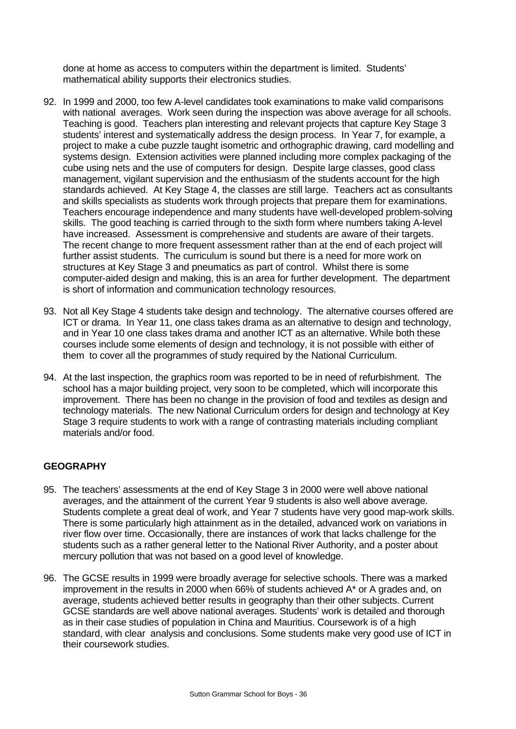done at home as access to computers within the department is limited. Students' mathematical ability supports their electronics studies.

- 92. In 1999 and 2000, too few A-level candidates took examinations to make valid comparisons with national averages. Work seen during the inspection was above average for all schools. Teaching is good. Teachers plan interesting and relevant projects that capture Key Stage 3 students' interest and systematically address the design process. In Year 7, for example, a project to make a cube puzzle taught isometric and orthographic drawing, card modelling and systems design. Extension activities were planned including more complex packaging of the cube using nets and the use of computers for design. Despite large classes, good class management, vigilant supervision and the enthusiasm of the students account for the high standards achieved. At Key Stage 4, the classes are still large. Teachers act as consultants and skills specialists as students work through projects that prepare them for examinations. Teachers encourage independence and many students have well-developed problem-solving skills. The good teaching is carried through to the sixth form where numbers taking A-level have increased. Assessment is comprehensive and students are aware of their targets. The recent change to more frequent assessment rather than at the end of each project will further assist students. The curriculum is sound but there is a need for more work on structures at Key Stage 3 and pneumatics as part of control. Whilst there is some computer-aided design and making, this is an area for further development. The department is short of information and communication technology resources.
- 93. Not all Key Stage 4 students take design and technology. The alternative courses offered are ICT or drama. In Year 11, one class takes drama as an alternative to design and technology, and in Year 10 one class takes drama and another ICT as an alternative. While both these courses include some elements of design and technology, it is not possible with either of them to cover all the programmes of study required by the National Curriculum.
- 94. At the last inspection, the graphics room was reported to be in need of refurbishment. The school has a major building project, very soon to be completed, which will incorporate this improvement. There has been no change in the provision of food and textiles as design and technology materials. The new National Curriculum orders for design and technology at Key Stage 3 require students to work with a range of contrasting materials including compliant materials and/or food.

## **GEOGRAPHY**

- 95. The teachers' assessments at the end of Key Stage 3 in 2000 were well above national averages, and the attainment of the current Year 9 students is also well above average. Students complete a great deal of work, and Year 7 students have very good map-work skills. There is some particularly high attainment as in the detailed, advanced work on variations in river flow over time. Occasionally, there are instances of work that lacks challenge for the students such as a rather general letter to the National River Authority, and a poster about mercury pollution that was not based on a good level of knowledge.
- 96. The GCSE results in 1999 were broadly average for selective schools. There was a marked improvement in the results in 2000 when 66% of students achieved A\* or A grades and, on average, students achieved better results in geography than their other subjects. Current GCSE standards are well above national averages. Students' work is detailed and thorough as in their case studies of population in China and Mauritius. Coursework is of a high standard, with clear analysis and conclusions. Some students make very good use of ICT in their coursework studies.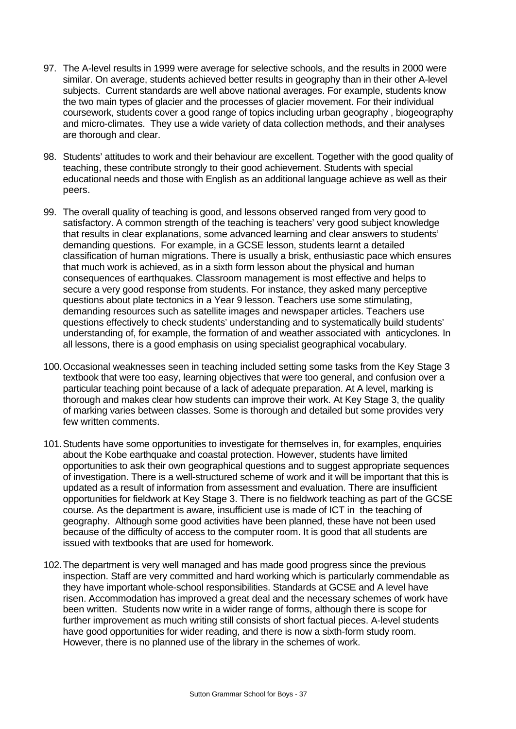- 97. The A-level results in 1999 were average for selective schools, and the results in 2000 were similar. On average, students achieved better results in geography than in their other A-level subjects. Current standards are well above national averages. For example, students know the two main types of glacier and the processes of glacier movement. For their individual coursework, students cover a good range of topics including urban geography , biogeography and micro-climates. They use a wide variety of data collection methods, and their analyses are thorough and clear.
- 98. Students' attitudes to work and their behaviour are excellent. Together with the good quality of teaching, these contribute strongly to their good achievement. Students with special educational needs and those with English as an additional language achieve as well as their peers.
- 99. The overall quality of teaching is good, and lessons observed ranged from very good to satisfactory. A common strength of the teaching is teachers' very good subject knowledge that results in clear explanations, some advanced learning and clear answers to students' demanding questions. For example, in a GCSE lesson, students learnt a detailed classification of human migrations. There is usually a brisk, enthusiastic pace which ensures that much work is achieved, as in a sixth form lesson about the physical and human consequences of earthquakes. Classroom management is most effective and helps to secure a very good response from students. For instance, they asked many perceptive questions about plate tectonics in a Year 9 lesson. Teachers use some stimulating, demanding resources such as satellite images and newspaper articles. Teachers use questions effectively to check students' understanding and to systematically build students' understanding of, for example, the formation of and weather associated with anticyclones. In all lessons, there is a good emphasis on using specialist geographical vocabulary.
- 100.Occasional weaknesses seen in teaching included setting some tasks from the Key Stage 3 textbook that were too easy, learning objectives that were too general, and confusion over a particular teaching point because of a lack of adequate preparation. At A level, marking is thorough and makes clear how students can improve their work. At Key Stage 3, the quality of marking varies between classes. Some is thorough and detailed but some provides very few written comments.
- 101.Students have some opportunities to investigate for themselves in, for examples, enquiries about the Kobe earthquake and coastal protection. However, students have limited opportunities to ask their own geographical questions and to suggest appropriate sequences of investigation. There is a well-structured scheme of work and it will be important that this is updated as a result of information from assessment and evaluation. There are insufficient opportunities for fieldwork at Key Stage 3. There is no fieldwork teaching as part of the GCSE course. As the department is aware, insufficient use is made of ICT in the teaching of geography. Although some good activities have been planned, these have not been used because of the difficulty of access to the computer room. It is good that all students are issued with textbooks that are used for homework.
- 102.The department is very well managed and has made good progress since the previous inspection. Staff are very committed and hard working which is particularly commendable as they have important whole-school responsibilities. Standards at GCSE and A level have risen. Accommodation has improved a great deal and the necessary schemes of work have been written. Students now write in a wider range of forms, although there is scope for further improvement as much writing still consists of short factual pieces. A-level students have good opportunities for wider reading, and there is now a sixth-form study room. However, there is no planned use of the library in the schemes of work.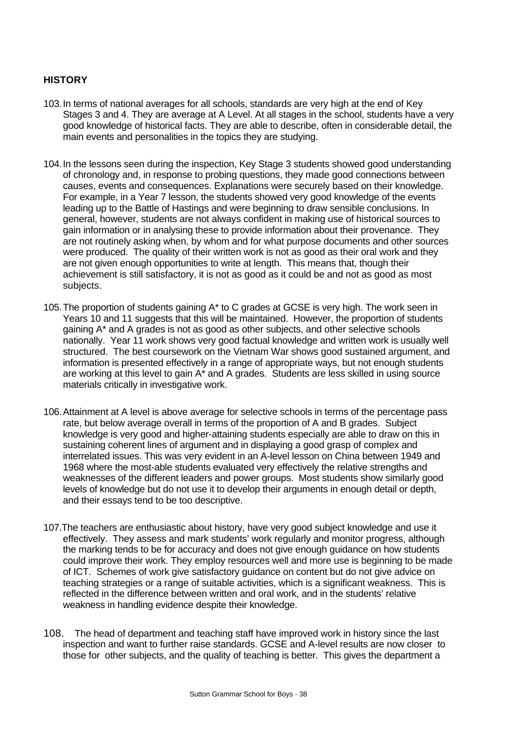## **HISTORY**

- 103.In terms of national averages for all schools, standards are very high at the end of Key Stages 3 and 4. They are average at A Level. At all stages in the school, students have a very good knowledge of historical facts. They are able to describe, often in considerable detail, the main events and personalities in the topics they are studying.
- 104.In the lessons seen during the inspection, Key Stage 3 students showed good understanding of chronology and, in response to probing questions, they made good connections between causes, events and consequences. Explanations were securely based on their knowledge. For example, in a Year 7 lesson, the students showed very good knowledge of the events leading up to the Battle of Hastings and were beginning to draw sensible conclusions. In general, however, students are not always confident in making use of historical sources to gain information or in analysing these to provide information about their provenance. They are not routinely asking when, by whom and for what purpose documents and other sources were produced. The quality of their written work is not as good as their oral work and they are not given enough opportunities to write at length. This means that, though their achievement is still satisfactory, it is not as good as it could be and not as good as most subjects.
- 105.The proportion of students gaining A\* to C grades at GCSE is very high. The work seen in Years 10 and 11 suggests that this will be maintained. However, the proportion of students gaining A\* and A grades is not as good as other subjects, and other selective schools nationally. Year 11 work shows very good factual knowledge and written work is usually well structured. The best coursework on the Vietnam War shows good sustained argument, and information is presented effectively in a range of appropriate ways, but not enough students are working at this level to gain A\* and A grades. Students are less skilled in using source materials critically in investigative work.
- 106.Attainment at A level is above average for selective schools in terms of the percentage pass rate, but below average overall in terms of the proportion of A and B grades. Subject knowledge is very good and higher-attaining students especially are able to draw on this in sustaining coherent lines of argument and in displaying a good grasp of complex and interrelated issues. This was very evident in an A-level lesson on China between 1949 and 1968 where the most-able students evaluated very effectively the relative strengths and weaknesses of the different leaders and power groups. Most students show similarly good levels of knowledge but do not use it to develop their arguments in enough detail or depth, and their essays tend to be too descriptive.
- 107.The teachers are enthusiastic about history, have very good subject knowledge and use it effectively. They assess and mark students' work regularly and monitor progress, although the marking tends to be for accuracy and does not give enough guidance on how students could improve their work. They employ resources well and more use is beginning to be made of ICT. Schemes of work give satisfactory guidance on content but do not give advice on teaching strategies or a range of suitable activities, which is a significant weakness. This is reflected in the difference between written and oral work, and in the students' relative weakness in handling evidence despite their knowledge.
- 108. The head of department and teaching staff have improved work in history since the last inspection and want to further raise standards. GCSE and A-level results are now closer to those for other subjects, and the quality of teaching is better. This gives the department a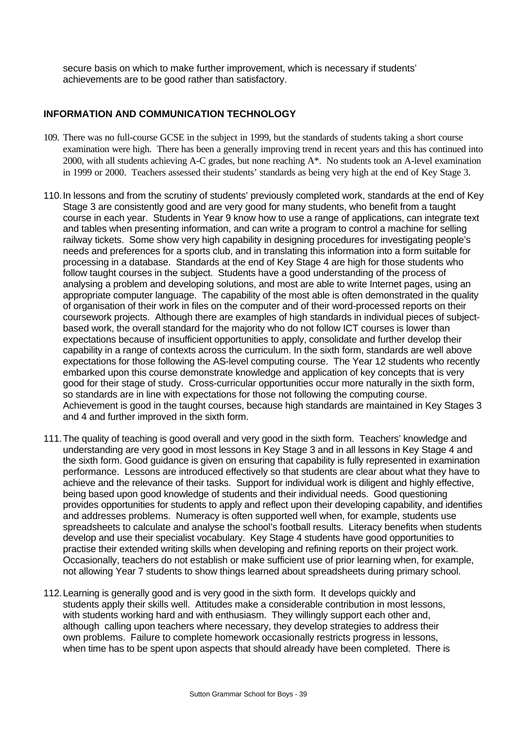secure basis on which to make further improvement, which is necessary if students' achievements are to be good rather than satisfactory.

## **INFORMATION AND COMMUNICATION TECHNOLOGY**

- 109. There was no full-course GCSE in the subject in 1999, but the standards of students taking a short course examination were high. There has been a generally improving trend in recent years and this has continued into 2000, with all students achieving A-C grades, but none reaching A\*. No students took an A-level examination in 1999 or 2000. Teachers assessed their students' standards as being very high at the end of Key Stage 3.
- 110.In lessons and from the scrutiny of students' previously completed work, standards at the end of Key Stage 3 are consistently good and are very good for many students, who benefit from a taught course in each year. Students in Year 9 know how to use a range of applications, can integrate text and tables when presenting information, and can write a program to control a machine for selling railway tickets. Some show very high capability in designing procedures for investigating people's needs and preferences for a sports club, and in translating this information into a form suitable for processing in a database. Standards at the end of Key Stage 4 are high for those students who follow taught courses in the subject. Students have a good understanding of the process of analysing a problem and developing solutions, and most are able to write Internet pages, using an appropriate computer language. The capability of the most able is often demonstrated in the quality of organisation of their work in files on the computer and of their word-processed reports on their coursework projects. Although there are examples of high standards in individual pieces of subjectbased work, the overall standard for the majority who do not follow ICT courses is lower than expectations because of insufficient opportunities to apply, consolidate and further develop their capability in a range of contexts across the curriculum. In the sixth form, standards are well above expectations for those following the AS-level computing course. The Year 12 students who recently embarked upon this course demonstrate knowledge and application of key concepts that is very good for their stage of study. Cross-curricular opportunities occur more naturally in the sixth form, so standards are in line with expectations for those not following the computing course. Achievement is good in the taught courses, because high standards are maintained in Key Stages 3 and 4 and further improved in the sixth form.
- 111.The quality of teaching is good overall and very good in the sixth form. Teachers' knowledge and understanding are very good in most lessons in Key Stage 3 and in all lessons in Key Stage 4 and the sixth form. Good guidance is given on ensuring that capability is fully represented in examination performance.Lessons are introduced effectively so that students are clear about what they have to achieve and the relevance of their tasks. Support for individual work is diligent and highly effective, being based upon good knowledge of students and their individual needs. Good questioning provides opportunities for students to apply and reflect upon their developing capability, and identifies and addresses problems. Numeracy is often supported well when, for example, students use spreadsheets to calculate and analyse the school's football results. Literacy benefits when students develop and use their specialist vocabulary. Key Stage 4 students have good opportunities to practise their extended writing skills when developing and refining reports on their project work. Occasionally, teachers do not establish or make sufficient use of prior learning when, for example, not allowing Year 7 students to show things learned about spreadsheets during primary school.
- 112.Learning is generally good and is very good in the sixth form. It develops quickly and students apply their skills well. Attitudes make a considerable contribution in most lessons, with students working hard and with enthusiasm. They willingly support each other and, although calling upon teachers where necessary, they develop strategies to address their own problems. Failure to complete homework occasionally restricts progress in lessons, when time has to be spent upon aspects that should already have been completed. There is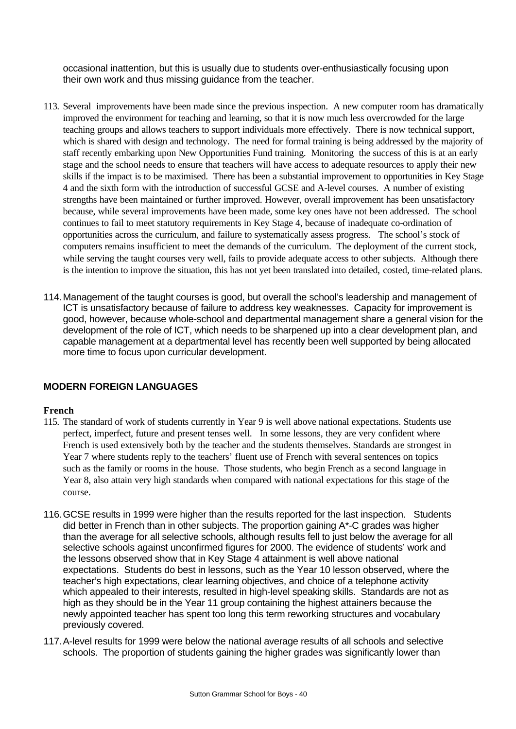occasional inattention, but this is usually due to students over-enthusiastically focusing upon their own work and thus missing guidance from the teacher.

- 113. Several improvements have been made since the previous inspection. A new computer room has dramatically improved the environment for teaching and learning, so that it is now much less overcrowded for the large teaching groups and allows teachers to support individuals more effectively. There is now technical support, which is shared with design and technology. The need for formal training is being addressed by the majority of staff recently embarking upon New Opportunities Fund training. Monitoring the success of this is at an early stage and the school needs to ensure that teachers will have access to adequate resources to apply their new skills if the impact is to be maximised. There has been a substantial improvement to opportunities in Key Stage 4 and the sixth form with the introduction of successful GCSE and A-level courses. A number of existing strengths have been maintained or further improved. However, overall improvement has been unsatisfactory because, while several improvements have been made, some key ones have not been addressed. The school continues to fail to meet statutory requirements in Key Stage 4, because of inadequate co-ordination of opportunities across the curriculum, and failure to systematically assess progress. The school's stock of computers remains insufficient to meet the demands of the curriculum. The deployment of the current stock, while serving the taught courses very well, fails to provide adequate access to other subjects. Although there is the intention to improve the situation, this has not yet been translated into detailed, costed, time-related plans.
- 114.Management of the taught courses is good, but overall the school's leadership and management of ICT is unsatisfactory because of failure to address key weaknesses. Capacity for improvement is good, however, because whole-school and departmental management share a general vision for the development of the role of ICT, which needs to be sharpened up into a clear development plan, and capable management at a departmental level has recently been well supported by being allocated more time to focus upon curricular development.

## **MODERN FOREIGN LANGUAGES**

#### **French**

- 115. The standard of work of students currently in Year 9 is well above national expectations. Students use perfect, imperfect, future and present tenses well. In some lessons, they are very confident where French is used extensively both by the teacher and the students themselves. Standards are strongest in Year 7 where students reply to the teachers' fluent use of French with several sentences on topics such as the family or rooms in the house. Those students, who begin French as a second language in Year 8, also attain very high standards when compared with national expectations for this stage of the course.
- 116.GCSE results in 1999 were higher than the results reported for the last inspection. Students did better in French than in other subjects. The proportion gaining A\*-C grades was higher than the average for all selective schools, although results fell to just below the average for all selective schools against unconfirmed figures for 2000. The evidence of students' work and the lessons observed show that in Key Stage 4 attainment is well above national expectations. Students do best in lessons, such as the Year 10 lesson observed, where the teacher's high expectations, clear learning objectives, and choice of a telephone activity which appealed to their interests, resulted in high-level speaking skills. Standards are not as high as they should be in the Year 11 group containing the highest attainers because the newly appointed teacher has spent too long this term reworking structures and vocabulary previously covered.
- 117.A-level results for 1999 were below the national average results of all schools and selective schools. The proportion of students gaining the higher grades was significantly lower than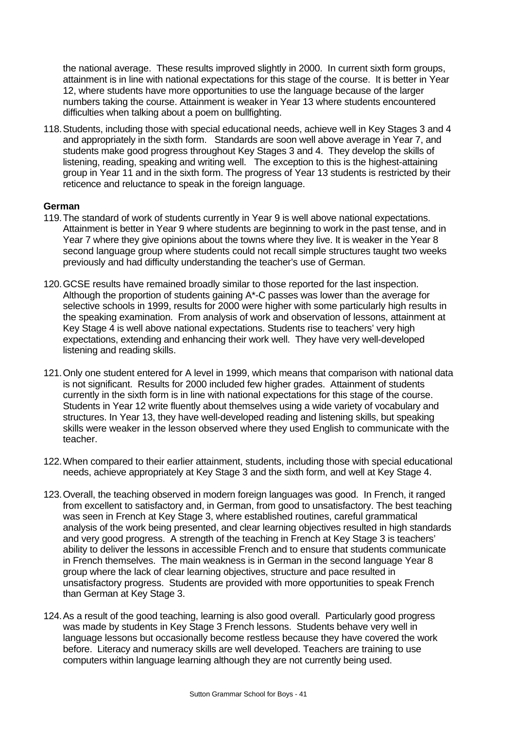the national average. These results improved slightly in 2000. In current sixth form groups, attainment is in line with national expectations for this stage of the course. It is better in Year 12, where students have more opportunities to use the language because of the larger numbers taking the course. Attainment is weaker in Year 13 where students encountered difficulties when talking about a poem on bullfighting.

118.Students, including those with special educational needs, achieve well in Key Stages 3 and 4 and appropriately in the sixth form. Standards are soon well above average in Year 7, and students make good progress throughout Key Stages 3 and 4. They develop the skills of listening, reading, speaking and writing well. The exception to this is the highest-attaining group in Year 11 and in the sixth form. The progress of Year 13 students is restricted by their reticence and reluctance to speak in the foreign language.

## **German**

- 119.The standard of work of students currently in Year 9 is well above national expectations. Attainment is better in Year 9 where students are beginning to work in the past tense, and in Year 7 where they give opinions about the towns where they live. It is weaker in the Year 8 second language group where students could not recall simple structures taught two weeks previously and had difficulty understanding the teacher's use of German.
- 120.GCSE results have remained broadly similar to those reported for the last inspection. Although the proportion of students gaining A\*-C passes was lower than the average for selective schools in 1999, results for 2000 were higher with some particularly high results in the speaking examination. From analysis of work and observation of lessons, attainment at Key Stage 4 is well above national expectations. Students rise to teachers' very high expectations, extending and enhancing their work well. They have very well-developed listening and reading skills.
- 121.Only one student entered for A level in 1999, which means that comparison with national data is not significant. Results for 2000 included few higher grades. Attainment of students currently in the sixth form is in line with national expectations for this stage of the course. Students in Year 12 write fluently about themselves using a wide variety of vocabulary and structures. In Year 13, they have well-developed reading and listening skills, but speaking skills were weaker in the lesson observed where they used English to communicate with the teacher.
- 122.When compared to their earlier attainment, students, including those with special educational needs, achieve appropriately at Key Stage 3 and the sixth form, and well at Key Stage 4.
- 123.Overall, the teaching observed in modern foreign languages was good. In French, it ranged from excellent to satisfactory and, in German, from good to unsatisfactory. The best teaching was seen in French at Key Stage 3, where established routines, careful grammatical analysis of the work being presented, and clear learning objectives resulted in high standards and very good progress. A strength of the teaching in French at Key Stage 3 is teachers' ability to deliver the lessons in accessible French and to ensure that students communicate in French themselves. The main weakness is in German in the second language Year 8 group where the lack of clear learning objectives, structure and pace resulted in unsatisfactory progress. Students are provided with more opportunities to speak French than German at Key Stage 3.
- 124.As a result of the good teaching, learning is also good overall. Particularly good progress was made by students in Key Stage 3 French lessons. Students behave very well in language lessons but occasionally become restless because they have covered the work before. Literacy and numeracy skills are well developed. Teachers are training to use computers within language learning although they are not currently being used.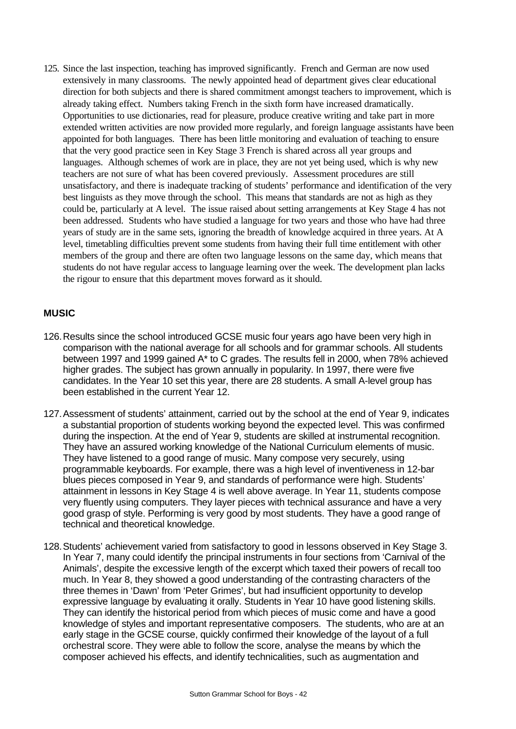125. Since the last inspection, teaching has improved significantly. French and German are now used extensively in many classrooms. The newly appointed head of department gives clear educational direction for both subjects and there is shared commitment amongst teachers to improvement, which is already taking effect. Numbers taking French in the sixth form have increased dramatically. Opportunities to use dictionaries, read for pleasure, produce creative writing and take part in more extended written activities are now provided more regularly, and foreign language assistants have been appointed for both languages. There has been little monitoring and evaluation of teaching to ensure that the very good practice seen in Key Stage 3 French is shared across all year groups and languages. Although schemes of work are in place, they are not yet being used, which is why new teachers are not sure of what has been covered previously. Assessment procedures are still unsatisfactory, and there is inadequate tracking of students' performance and identification of the very best linguists as they move through the school. This means that standards are not as high as they could be, particularly at A level. The issue raised about setting arrangements at Key Stage 4 has not been addressed. Students who have studied a language for two years and those who have had three years of study are in the same sets, ignoring the breadth of knowledge acquired in three years. At A level, timetabling difficulties prevent some students from having their full time entitlement with other members of the group and there are often two language lessons on the same day, which means that students do not have regular access to language learning over the week. The development plan lacks the rigour to ensure that this department moves forward as it should.

## **MUSIC**

- 126.Results since the school introduced GCSE music four years ago have been very high in comparison with the national average for all schools and for grammar schools. All students between 1997 and 1999 gained A\* to C grades. The results fell in 2000, when 78% achieved higher grades. The subject has grown annually in popularity. In 1997, there were five candidates. In the Year 10 set this year, there are 28 students. A small A-level group has been established in the current Year 12.
- 127.Assessment of students' attainment, carried out by the school at the end of Year 9, indicates a substantial proportion of students working beyond the expected level. This was confirmed during the inspection. At the end of Year 9, students are skilled at instrumental recognition. They have an assured working knowledge of the National Curriculum elements of music. They have listened to a good range of music. Many compose very securely, using programmable keyboards. For example, there was a high level of inventiveness in 12-bar blues pieces composed in Year 9, and standards of performance were high. Students' attainment in lessons in Key Stage 4 is well above average. In Year 11, students compose very fluently using computers. They layer pieces with technical assurance and have a very good grasp of style. Performing is very good by most students. They have a good range of technical and theoretical knowledge.
- 128.Students' achievement varied from satisfactory to good in lessons observed in Key Stage 3. In Year 7, many could identify the principal instruments in four sections from 'Carnival of the Animals', despite the excessive length of the excerpt which taxed their powers of recall too much. In Year 8, they showed a good understanding of the contrasting characters of the three themes in 'Dawn' from 'Peter Grimes', but had insufficient opportunity to develop expressive language by evaluating it orally. Students in Year 10 have good listening skills. They can identify the historical period from which pieces of music come and have a good knowledge of styles and important representative composers. The students, who are at an early stage in the GCSE course, quickly confirmed their knowledge of the layout of a full orchestral score. They were able to follow the score, analyse the means by which the composer achieved his effects, and identify technicalities, such as augmentation and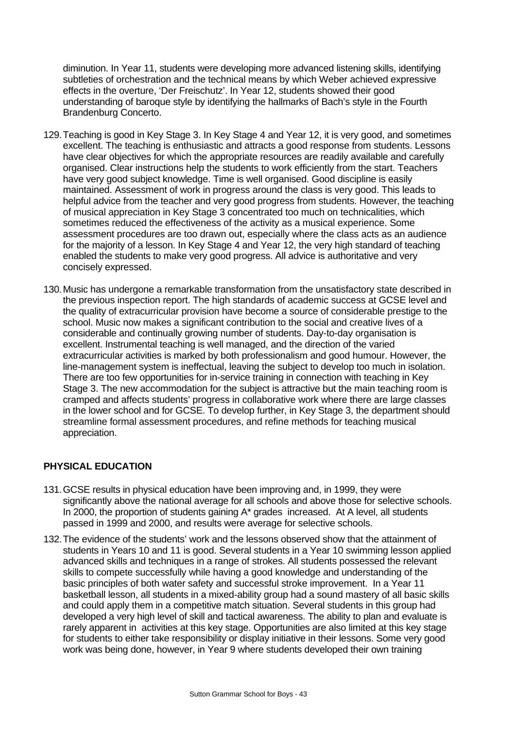diminution. In Year 11, students were developing more advanced listening skills, identifying subtleties of orchestration and the technical means by which Weber achieved expressive effects in the overture, 'Der Freischutz'. In Year 12, students showed their good understanding of baroque style by identifying the hallmarks of Bach's style in the Fourth Brandenburg Concerto.

- 129.Teaching is good in Key Stage 3. In Key Stage 4 and Year 12, it is very good, and sometimes excellent. The teaching is enthusiastic and attracts a good response from students. Lessons have clear objectives for which the appropriate resources are readily available and carefully organised. Clear instructions help the students to work efficiently from the start. Teachers have very good subject knowledge. Time is well organised. Good discipline is easily maintained. Assessment of work in progress around the class is very good. This leads to helpful advice from the teacher and very good progress from students. However, the teaching of musical appreciation in Key Stage 3 concentrated too much on technicalities, which sometimes reduced the effectiveness of the activity as a musical experience. Some assessment procedures are too drawn out, especially where the class acts as an audience for the majority of a lesson. In Key Stage 4 and Year 12, the very high standard of teaching enabled the students to make very good progress. All advice is authoritative and very concisely expressed.
- 130.Music has undergone a remarkable transformation from the unsatisfactory state described in the previous inspection report. The high standards of academic success at GCSE level and the quality of extracurricular provision have become a source of considerable prestige to the school. Music now makes a significant contribution to the social and creative lives of a considerable and continually growing number of students. Day-to-day organisation is excellent. Instrumental teaching is well managed, and the direction of the varied extracurricular activities is marked by both professionalism and good humour. However, the line-management system is ineffectual, leaving the subject to develop too much in isolation. There are too few opportunities for in-service training in connection with teaching in Key Stage 3. The new accommodation for the subject is attractive but the main teaching room is cramped and affects students' progress in collaborative work where there are large classes in the lower school and for GCSE. To develop further, in Key Stage 3, the department should streamline formal assessment procedures, and refine methods for teaching musical appreciation.

## **PHYSICAL EDUCATION**

- 131.GCSE results in physical education have been improving and, in 1999, they were significantly above the national average for all schools and above those for selective schools. In 2000, the proportion of students gaining A\* grades increased. At A level, all students passed in 1999 and 2000, and results were average for selective schools.
- 132.The evidence of the students' work and the lessons observed show that the attainment of students in Years 10 and 11 is good. Several students in a Year 10 swimming lesson applied advanced skills and techniques in a range of strokes. All students possessed the relevant skills to compete successfully while having a good knowledge and understanding of the basic principles of both water safety and successful stroke improvement. In a Year 11 basketball lesson, all students in a mixed-ability group had a sound mastery of all basic skills and could apply them in a competitive match situation. Several students in this group had developed a very high level of skill and tactical awareness. The ability to plan and evaluate is rarely apparent in activities at this key stage. Opportunities are also limited at this key stage for students to either take responsibility or display initiative in their lessons. Some very good work was being done, however, in Year 9 where students developed their own training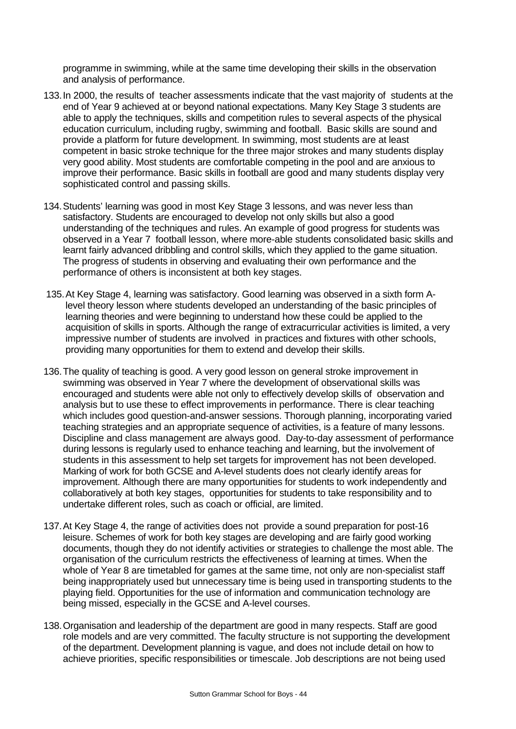programme in swimming, while at the same time developing their skills in the observation and analysis of performance.

- 133.In 2000, the results of teacher assessments indicate that the vast majority of students at the end of Year 9 achieved at or beyond national expectations. Many Key Stage 3 students are able to apply the techniques, skills and competition rules to several aspects of the physical education curriculum, including rugby, swimming and football. Basic skills are sound and provide a platform for future development. In swimming, most students are at least competent in basic stroke technique for the three major strokes and many students display very good ability. Most students are comfortable competing in the pool and are anxious to improve their performance. Basic skills in football are good and many students display very sophisticated control and passing skills.
- 134.Students' learning was good in most Key Stage 3 lessons, and was never less than satisfactory. Students are encouraged to develop not only skills but also a good understanding of the techniques and rules. An example of good progress for students was observed in a Year 7 football lesson, where more-able students consolidated basic skills and learnt fairly advanced dribbling and control skills, which they applied to the game situation. The progress of students in observing and evaluating their own performance and the performance of others is inconsistent at both key stages.
- 135.At Key Stage 4, learning was satisfactory. Good learning was observed in a sixth form Alevel theory lesson where students developed an understanding of the basic principles of learning theories and were beginning to understand how these could be applied to the acquisition of skills in sports. Although the range of extracurricular activities is limited, a very impressive number of students are involved in practices and fixtures with other schools, providing many opportunities for them to extend and develop their skills.
- 136.The quality of teaching is good. A very good lesson on general stroke improvement in swimming was observed in Year 7 where the development of observational skills was encouraged and students were able not only to effectively develop skills of observation and analysis but to use these to effect improvements in performance. There is clear teaching which includes good question-and-answer sessions. Thorough planning, incorporating varied teaching strategies and an appropriate sequence of activities, is a feature of many lessons. Discipline and class management are always good. Day-to-day assessment of performance during lessons is regularly used to enhance teaching and learning, but the involvement of students in this assessment to help set targets for improvement has not been developed. Marking of work for both GCSE and A-level students does not clearly identify areas for improvement. Although there are many opportunities for students to work independently and collaboratively at both key stages, opportunities for students to take responsibility and to undertake different roles, such as coach or official, are limited.
- 137.At Key Stage 4, the range of activities does not provide a sound preparation for post-16 leisure. Schemes of work for both key stages are developing and are fairly good working documents, though they do not identify activities or strategies to challenge the most able. The organisation of the curriculum restricts the effectiveness of learning at times. When the whole of Year 8 are timetabled for games at the same time, not only are non-specialist staff being inappropriately used but unnecessary time is being used in transporting students to the playing field. Opportunities for the use of information and communication technology are being missed, especially in the GCSE and A-level courses.
- 138.Organisation and leadership of the department are good in many respects. Staff are good role models and are very committed. The faculty structure is not supporting the development of the department. Development planning is vague, and does not include detail on how to achieve priorities, specific responsibilities or timescale. Job descriptions are not being used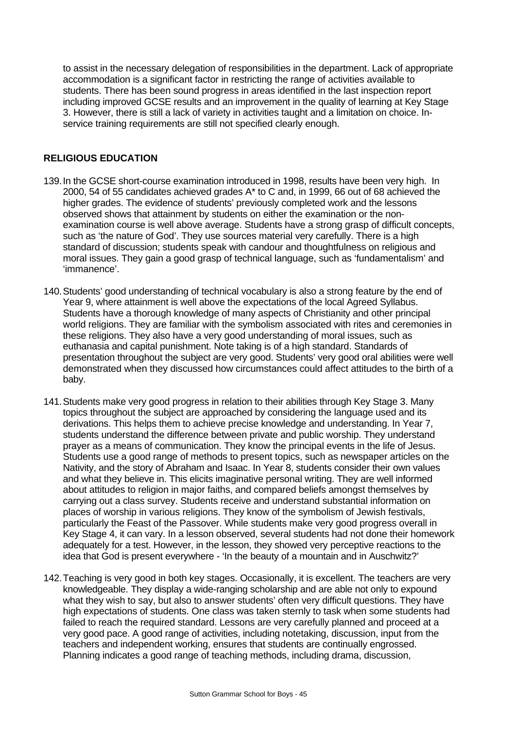to assist in the necessary delegation of responsibilities in the department. Lack of appropriate accommodation is a significant factor in restricting the range of activities available to students. There has been sound progress in areas identified in the last inspection report including improved GCSE results and an improvement in the quality of learning at Key Stage 3. However, there is still a lack of variety in activities taught and a limitation on choice. Inservice training requirements are still not specified clearly enough.

## **RELIGIOUS EDUCATION**

- 139.In the GCSE short-course examination introduced in 1998, results have been very high. In 2000, 54 of 55 candidates achieved grades A\* to C and, in 1999, 66 out of 68 achieved the higher grades. The evidence of students' previously completed work and the lessons observed shows that attainment by students on either the examination or the nonexamination course is well above average. Students have a strong grasp of difficult concepts, such as 'the nature of God'. They use sources material very carefully. There is a high standard of discussion; students speak with candour and thoughtfulness on religious and moral issues. They gain a good grasp of technical language, such as 'fundamentalism' and 'immanence'.
- 140.Students' good understanding of technical vocabulary is also a strong feature by the end of Year 9, where attainment is well above the expectations of the local Agreed Syllabus. Students have a thorough knowledge of many aspects of Christianity and other principal world religions. They are familiar with the symbolism associated with rites and ceremonies in these religions. They also have a very good understanding of moral issues, such as euthanasia and capital punishment. Note taking is of a high standard. Standards of presentation throughout the subject are very good. Students' very good oral abilities were well demonstrated when they discussed how circumstances could affect attitudes to the birth of a baby.
- 141.Students make very good progress in relation to their abilities through Key Stage 3. Many topics throughout the subject are approached by considering the language used and its derivations. This helps them to achieve precise knowledge and understanding. In Year 7, students understand the difference between private and public worship. They understand prayer as a means of communication. They know the principal events in the life of Jesus. Students use a good range of methods to present topics, such as newspaper articles on the Nativity, and the story of Abraham and Isaac. In Year 8, students consider their own values and what they believe in. This elicits imaginative personal writing. They are well informed about attitudes to religion in major faiths, and compared beliefs amongst themselves by carrying out a class survey. Students receive and understand substantial information on places of worship in various religions. They know of the symbolism of Jewish festivals, particularly the Feast of the Passover. While students make very good progress overall in Key Stage 4, it can vary. In a lesson observed, several students had not done their homework adequately for a test. However, in the lesson, they showed very perceptive reactions to the idea that God is present everywhere - 'In the beauty of a mountain and in Auschwitz?'
- 142.Teaching is very good in both key stages. Occasionally, it is excellent. The teachers are very knowledgeable. They display a wide-ranging scholarship and are able not only to expound what they wish to say, but also to answer students' often very difficult questions. They have high expectations of students. One class was taken sternly to task when some students had failed to reach the required standard. Lessons are very carefully planned and proceed at a very good pace. A good range of activities, including notetaking, discussion, input from the teachers and independent working, ensures that students are continually engrossed. Planning indicates a good range of teaching methods, including drama, discussion,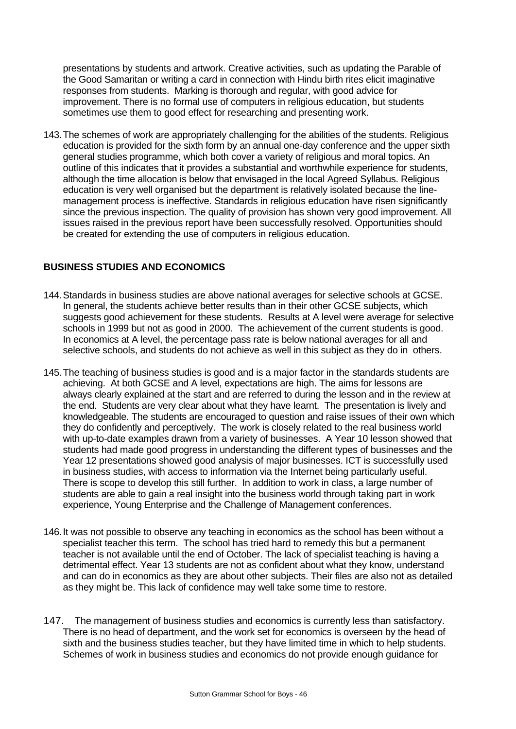presentations by students and artwork. Creative activities, such as updating the Parable of the Good Samaritan or writing a card in connection with Hindu birth rites elicit imaginative responses from students. Marking is thorough and regular, with good advice for improvement. There is no formal use of computers in religious education, but students sometimes use them to good effect for researching and presenting work.

143.The schemes of work are appropriately challenging for the abilities of the students. Religious education is provided for the sixth form by an annual one-day conference and the upper sixth general studies programme, which both cover a variety of religious and moral topics. An outline of this indicates that it provides a substantial and worthwhile experience for students, although the time allocation is below that envisaged in the local Agreed Syllabus. Religious education is very well organised but the department is relatively isolated because the linemanagement process is ineffective. Standards in religious education have risen significantly since the previous inspection. The quality of provision has shown very good improvement. All issues raised in the previous report have been successfully resolved. Opportunities should be created for extending the use of computers in religious education.

## **BUSINESS STUDIES AND ECONOMICS**

- 144.Standards in business studies are above national averages for selective schools at GCSE. In general, the students achieve better results than in their other GCSE subjects, which suggests good achievement for these students. Results at A level were average for selective schools in 1999 but not as good in 2000. The achievement of the current students is good. In economics at A level, the percentage pass rate is below national averages for all and selective schools, and students do not achieve as well in this subject as they do in others.
- 145.The teaching of business studies is good and is a major factor in the standards students are achieving. At both GCSE and A level, expectations are high. The aims for lessons are always clearly explained at the start and are referred to during the lesson and in the review at the end. Students are very clear about what they have learnt. The presentation is lively and knowledgeable. The students are encouraged to question and raise issues of their own which they do confidently and perceptively. The work is closely related to the real business world with up-to-date examples drawn from a variety of businesses. A Year 10 lesson showed that students had made good progress in understanding the different types of businesses and the Year 12 presentations showed good analysis of major businesses. ICT is successfully used in business studies, with access to information via the Internet being particularly useful. There is scope to develop this still further. In addition to work in class, a large number of students are able to gain a real insight into the business world through taking part in work experience, Young Enterprise and the Challenge of Management conferences.
- 146.It was not possible to observe any teaching in economics as the school has been without a specialist teacher this term. The school has tried hard to remedy this but a permanent teacher is not available until the end of October. The lack of specialist teaching is having a detrimental effect. Year 13 students are not as confident about what they know, understand and can do in economics as they are about other subjects. Their files are also not as detailed as they might be. This lack of confidence may well take some time to restore.
- 147. The management of business studies and economics is currently less than satisfactory. There is no head of department, and the work set for economics is overseen by the head of sixth and the business studies teacher, but they have limited time in which to help students. Schemes of work in business studies and economics do not provide enough guidance for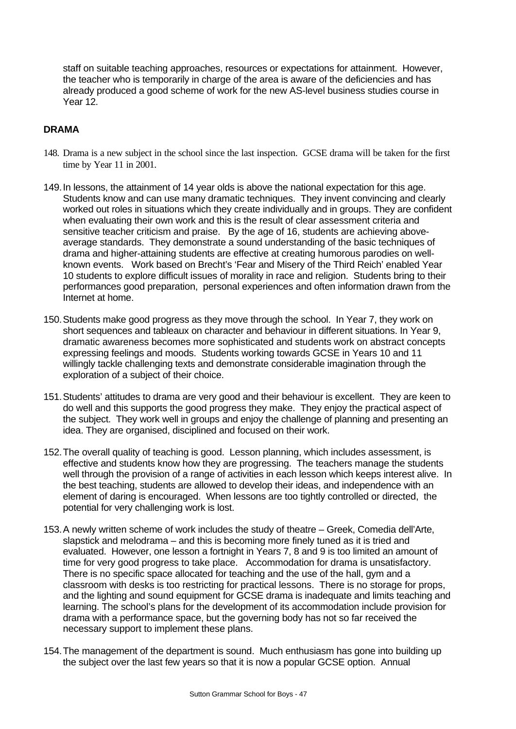staff on suitable teaching approaches, resources or expectations for attainment. However, the teacher who is temporarily in charge of the area is aware of the deficiencies and has already produced a good scheme of work for the new AS-level business studies course in Year 12.

## **DRAMA**

- 148. Drama is a new subject in the school since the last inspection. GCSE drama will be taken for the first time by Year 11 in 2001.
- 149.In lessons, the attainment of 14 year olds is above the national expectation for this age. Students know and can use many dramatic techniques. They invent convincing and clearly worked out roles in situations which they create individually and in groups. They are confident when evaluating their own work and this is the result of clear assessment criteria and sensitive teacher criticism and praise. By the age of 16, students are achieving aboveaverage standards. They demonstrate a sound understanding of the basic techniques of drama and higher-attaining students are effective at creating humorous parodies on wellknown events. Work based on Brecht's 'Fear and Misery of the Third Reich' enabled Year 10 students to explore difficult issues of morality in race and religion. Students bring to their performances good preparation, personal experiences and often information drawn from the Internet at home.
- 150.Students make good progress as they move through the school. In Year 7, they work on short sequences and tableaux on character and behaviour in different situations. In Year 9, dramatic awareness becomes more sophisticated and students work on abstract concepts expressing feelings and moods. Students working towards GCSE in Years 10 and 11 willingly tackle challenging texts and demonstrate considerable imagination through the exploration of a subject of their choice.
- 151.Students' attitudes to drama are very good and their behaviour is excellent. They are keen to do well and this supports the good progress they make. They enjoy the practical aspect of the subject. They work well in groups and enjoy the challenge of planning and presenting an idea. They are organised, disciplined and focused on their work.
- 152.The overall quality of teaching is good. Lesson planning, which includes assessment, is effective and students know how they are progressing. The teachers manage the students well through the provision of a range of activities in each lesson which keeps interest alive. In the best teaching, students are allowed to develop their ideas, and independence with an element of daring is encouraged. When lessons are too tightly controlled or directed, the potential for very challenging work is lost.
- 153.A newly written scheme of work includes the study of theatre Greek, Comedia dell'Arte, slapstick and melodrama – and this is becoming more finely tuned as it is tried and evaluated. However, one lesson a fortnight in Years 7, 8 and 9 is too limited an amount of time for very good progress to take place. Accommodation for drama is unsatisfactory. There is no specific space allocated for teaching and the use of the hall, gym and a classroom with desks is too restricting for practical lessons. There is no storage for props, and the lighting and sound equipment for GCSE drama is inadequate and limits teaching and learning. The school's plans for the development of its accommodation include provision for drama with a performance space, but the governing body has not so far received the necessary support to implement these plans.
- 154.The management of the department is sound. Much enthusiasm has gone into building up the subject over the last few years so that it is now a popular GCSE option. Annual